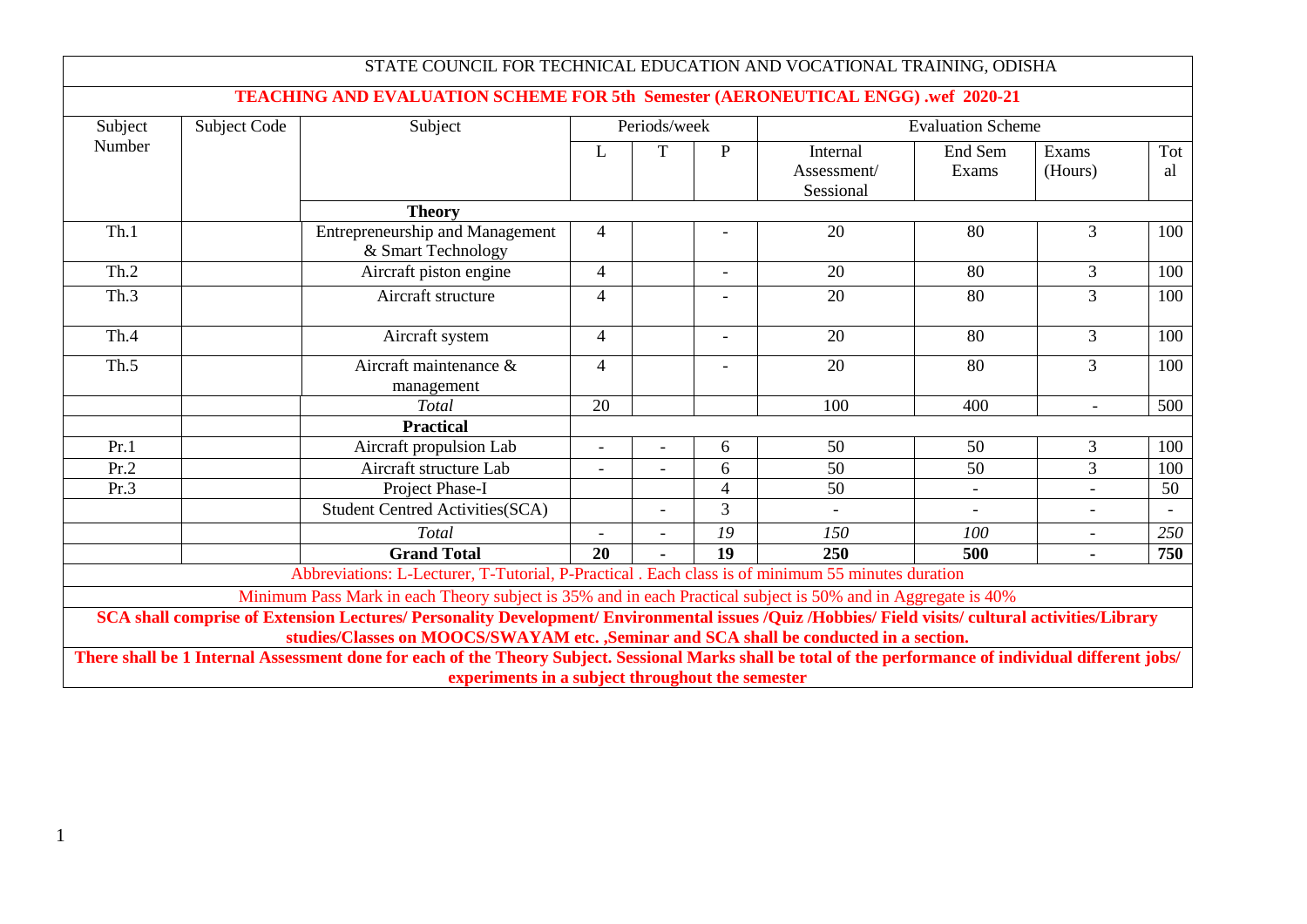|         |              | STATE COUNCIL FOR TECHNICAL EDUCATION AND VOCATIONAL TRAINING, ODISHA                                                                                                                                                                                                                                                                                       |                                          |   |                |                                      |                          |                  |           |
|---------|--------------|-------------------------------------------------------------------------------------------------------------------------------------------------------------------------------------------------------------------------------------------------------------------------------------------------------------------------------------------------------------|------------------------------------------|---|----------------|--------------------------------------|--------------------------|------------------|-----------|
|         |              | TEACHING AND EVALUATION SCHEME FOR 5th Semester (AERONEUTICAL ENGG) .wef 2020-21                                                                                                                                                                                                                                                                            |                                          |   |                |                                      |                          |                  |           |
| Subject | Subject Code | Subject                                                                                                                                                                                                                                                                                                                                                     | Periods/week<br><b>Evaluation Scheme</b> |   |                |                                      |                          |                  |           |
| Number  |              |                                                                                                                                                                                                                                                                                                                                                             | L                                        | T | P              | Internal<br>Assessment/<br>Sessional | End Sem<br>Exams         | Exams<br>(Hours) | Tot<br>al |
|         |              | <b>Theory</b>                                                                                                                                                                                                                                                                                                                                               |                                          |   |                |                                      |                          |                  |           |
| Th.1    |              | <b>Entrepreneurship and Management</b><br>& Smart Technology                                                                                                                                                                                                                                                                                                | $\overline{4}$                           |   |                | 20                                   | 80                       | $\overline{3}$   | 100       |
| Th.2    |              | Aircraft piston engine                                                                                                                                                                                                                                                                                                                                      | $\overline{4}$                           |   | $\overline{a}$ | 20                                   | 80                       | $\mathfrak{Z}$   | 100       |
| Th.3    |              | Aircraft structure                                                                                                                                                                                                                                                                                                                                          | 4                                        |   |                | 20                                   | 80                       | $\overline{3}$   | 100       |
| Th.4    |              | Aircraft system                                                                                                                                                                                                                                                                                                                                             | 4                                        |   | $\overline{a}$ | 20                                   | 80                       | $\overline{3}$   | 100       |
| Th.5    |              | Aircraft maintenance &<br>management                                                                                                                                                                                                                                                                                                                        | $\overline{4}$                           |   |                | $\overline{20}$                      | 80                       | $\overline{3}$   | 100       |
|         |              | Total                                                                                                                                                                                                                                                                                                                                                       | 20                                       |   |                | 100                                  | 400                      | $\blacksquare$   | 500       |
|         |              | <b>Practical</b>                                                                                                                                                                                                                                                                                                                                            |                                          |   |                |                                      |                          |                  |           |
| Pr.1    |              | Aircraft propulsion Lab                                                                                                                                                                                                                                                                                                                                     | $\overline{\phantom{a}}$                 |   | 6              | 50                                   | 50                       | $\mathfrak{Z}$   | 100       |
| Pr.2    |              | Aircraft structure Lab                                                                                                                                                                                                                                                                                                                                      |                                          |   | 6              | 50                                   | 50                       | 3                | 100       |
| Pr.3    |              | Project Phase-I                                                                                                                                                                                                                                                                                                                                             |                                          |   | 4              | 50                                   | $\overline{\phantom{a}}$ | $\blacksquare$   | 50        |
|         |              | <b>Student Centred Activities (SCA)</b>                                                                                                                                                                                                                                                                                                                     |                                          |   | 3              |                                      |                          |                  |           |
|         |              | Total                                                                                                                                                                                                                                                                                                                                                       |                                          |   | 19             | 150                                  | 100                      | $\blacksquare$   | 250       |
|         |              | <b>Grand Total</b>                                                                                                                                                                                                                                                                                                                                          | 20                                       |   | 19             | 250                                  | 500                      | $\blacksquare$   | 750       |
|         |              | Abbreviations: L-Lecturer, T-Tutorial, P-Practical . Each class is of minimum 55 minutes duration                                                                                                                                                                                                                                                           |                                          |   |                |                                      |                          |                  |           |
|         |              | Minimum Pass Mark in each Theory subject is 35% and in each Practical subject is 50% and in Aggregate is 40%<br>SCA shall comprise of Extension Lectures/ Personality Development/ Environmental issues /Quiz /Hobbies/ Field visits/ cultural activities/Library<br>studies/Classes on MOOCS/SWAYAM etc. ,Seminar and SCA shall be conducted in a section. |                                          |   |                |                                      |                          |                  |           |
|         |              | There shall be 1 Internal Assessment done for each of the Theory Subject. Sessional Marks shall be total of the performance of individual different jobs/<br>experiments in a subject throughout the semester                                                                                                                                               |                                          |   |                |                                      |                          |                  |           |

1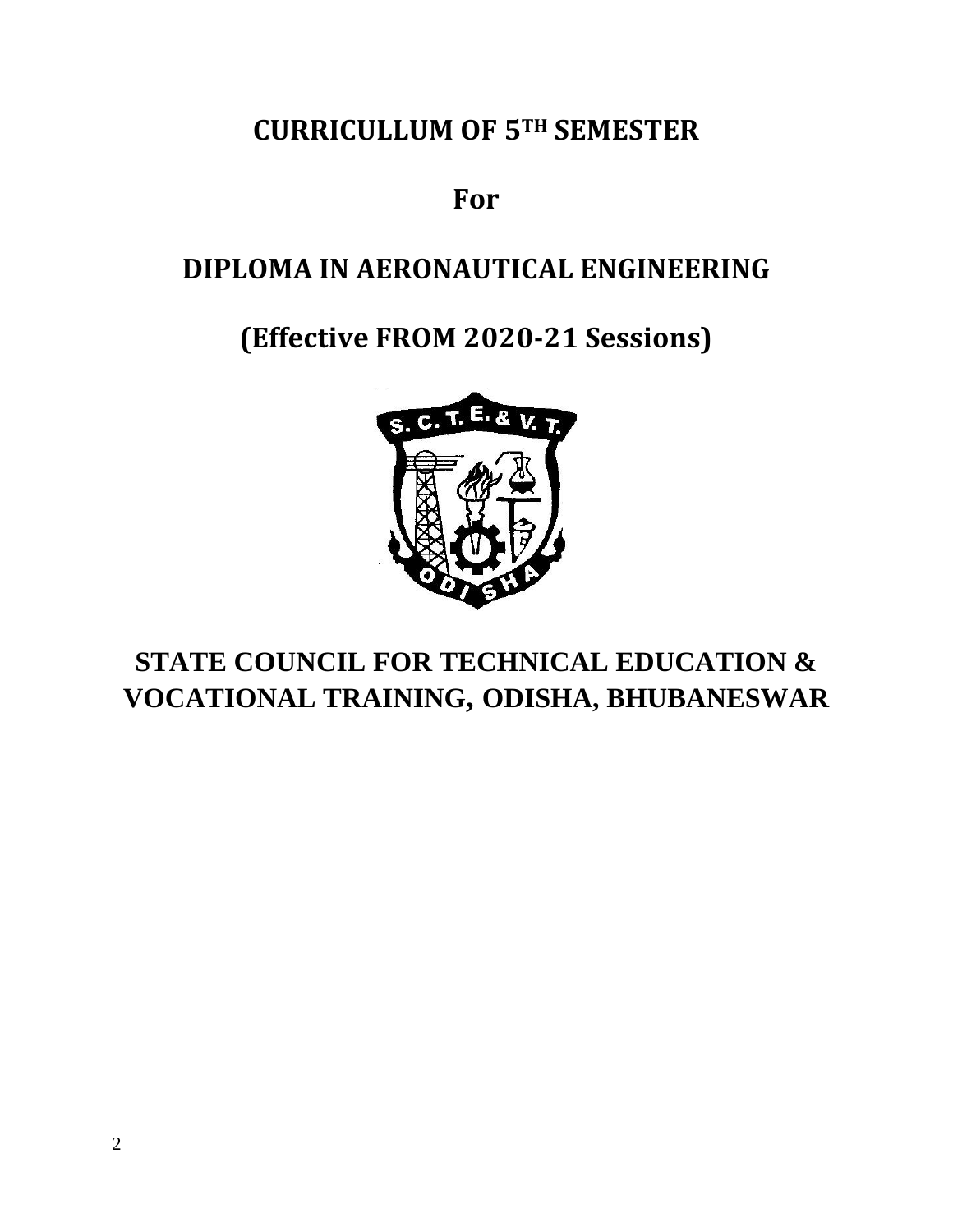## **CURRICULLUM OF 5TH SEMESTER**

**For**

# **DIPLOMA IN AERONAUTICAL ENGINEERING**

# **(Effective FROM 2020-21 Sessions)**



# **STATE COUNCIL FOR TECHNICAL EDUCATION & VOCATIONAL TRAINING, ODISHA, BHUBANESWAR**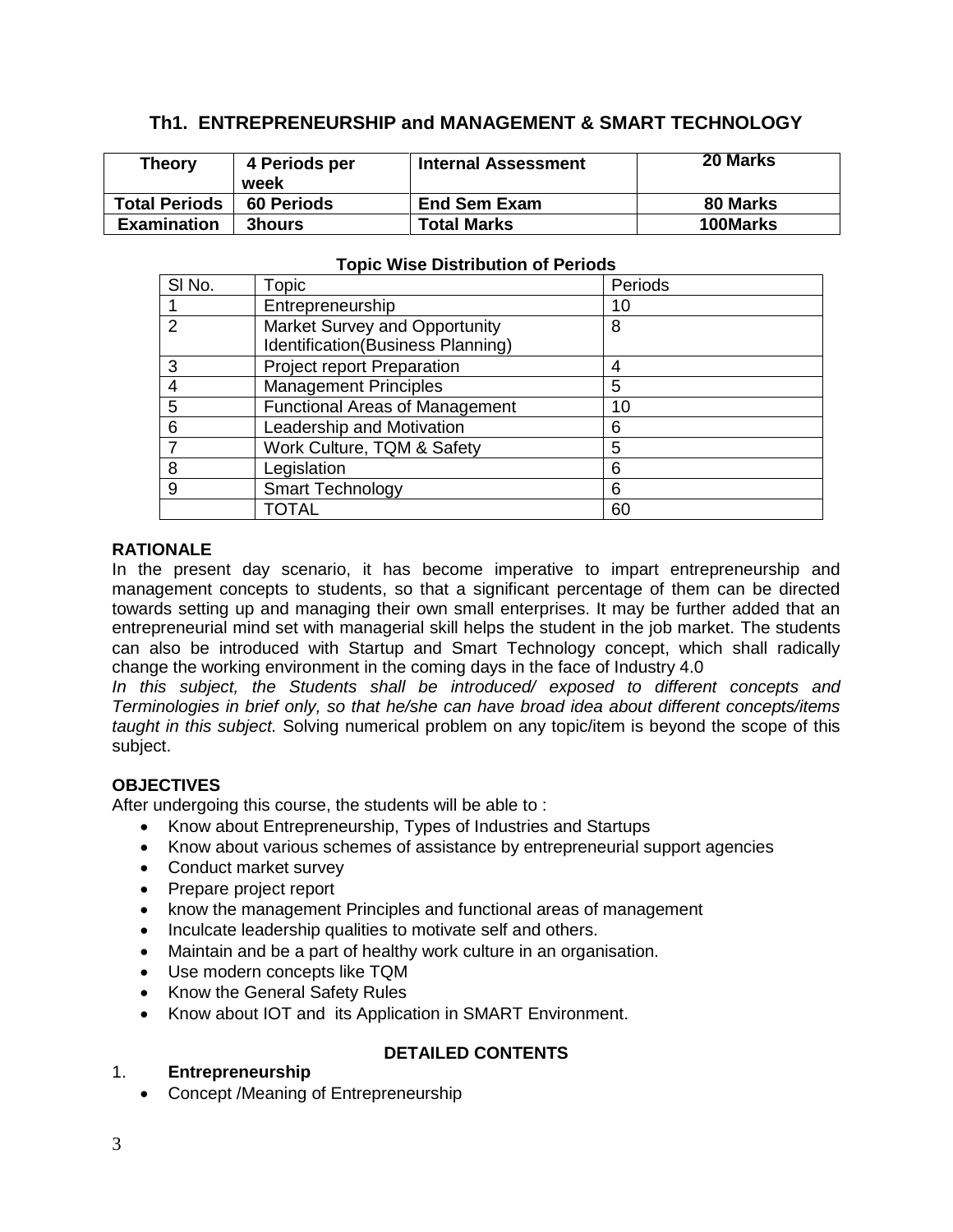## **Th1. ENTREPRENEURSHIP and MANAGEMENT & SMART TECHNOLOGY**

| <b>Theory</b>        | 4 Periods per<br>week | <b>Internal Assessment</b> | <b>20 Marks</b> |
|----------------------|-----------------------|----------------------------|-----------------|
| <b>Total Periods</b> | <b>60 Periods</b>     | <b>End Sem Exam</b>        | 80 Marks        |
| <b>Examination</b>   | <b>3hours</b>         | <b>Total Marks</b>         | 100Marks        |

| SI No.        | Topic                                 | Periods |  |  |  |  |
|---------------|---------------------------------------|---------|--|--|--|--|
|               | Entrepreneurship                      | 10      |  |  |  |  |
| $\mathcal{P}$ | Market Survey and Opportunity         | 8       |  |  |  |  |
|               | Identification(Business Planning)     |         |  |  |  |  |
| 3             | <b>Project report Preparation</b>     |         |  |  |  |  |
|               | <b>Management Principles</b>          | 5       |  |  |  |  |
| 5             | <b>Functional Areas of Management</b> | 10      |  |  |  |  |
| 6             | Leadership and Motivation             | 6       |  |  |  |  |
|               | Work Culture, TQM & Safety            | 5       |  |  |  |  |
| 8             | Legislation                           | 6       |  |  |  |  |
| 9             | <b>Smart Technology</b>               | 6       |  |  |  |  |
|               | TOTAL                                 | 60      |  |  |  |  |

#### **Topic Wise Distribution of Periods**

#### **RATIONALE**

In the present day scenario, it has become imperative to impart entrepreneurship and management concepts to students, so that a significant percentage of them can be directed towards setting up and managing their own small enterprises. It may be further added that an entrepreneurial mind set with managerial skill helps the student in the job market. The students can also be introduced with Startup and Smart Technology concept, which shall radically change the working environment in the coming days in the face of Industry 4.0

*In this subject, the Students shall be introduced/ exposed to different concepts and Terminologies in brief only, so that he/she can have broad idea about different concepts/items taught in this subject.* Solving numerical problem on any topic/item is beyond the scope of this subject.

#### **OBJECTIVES**

After undergoing this course, the students will be able to :

- Know about Entrepreneurship, Types of Industries and Startups
- Know about various schemes of assistance by entrepreneurial support agencies
- Conduct market survey
- Prepare project report
- know the management Principles and functional areas of management
- Inculcate leadership qualities to motivate self and others.
- Maintain and be a part of healthy work culture in an organisation.
- Use modern concepts like TQM
- Know the General Safety Rules
- Know about IOT and its Application in SMART Environment.

## **DETAILED CONTENTS**

#### 1. **Entrepreneurship**

Concept /Meaning of Entrepreneurship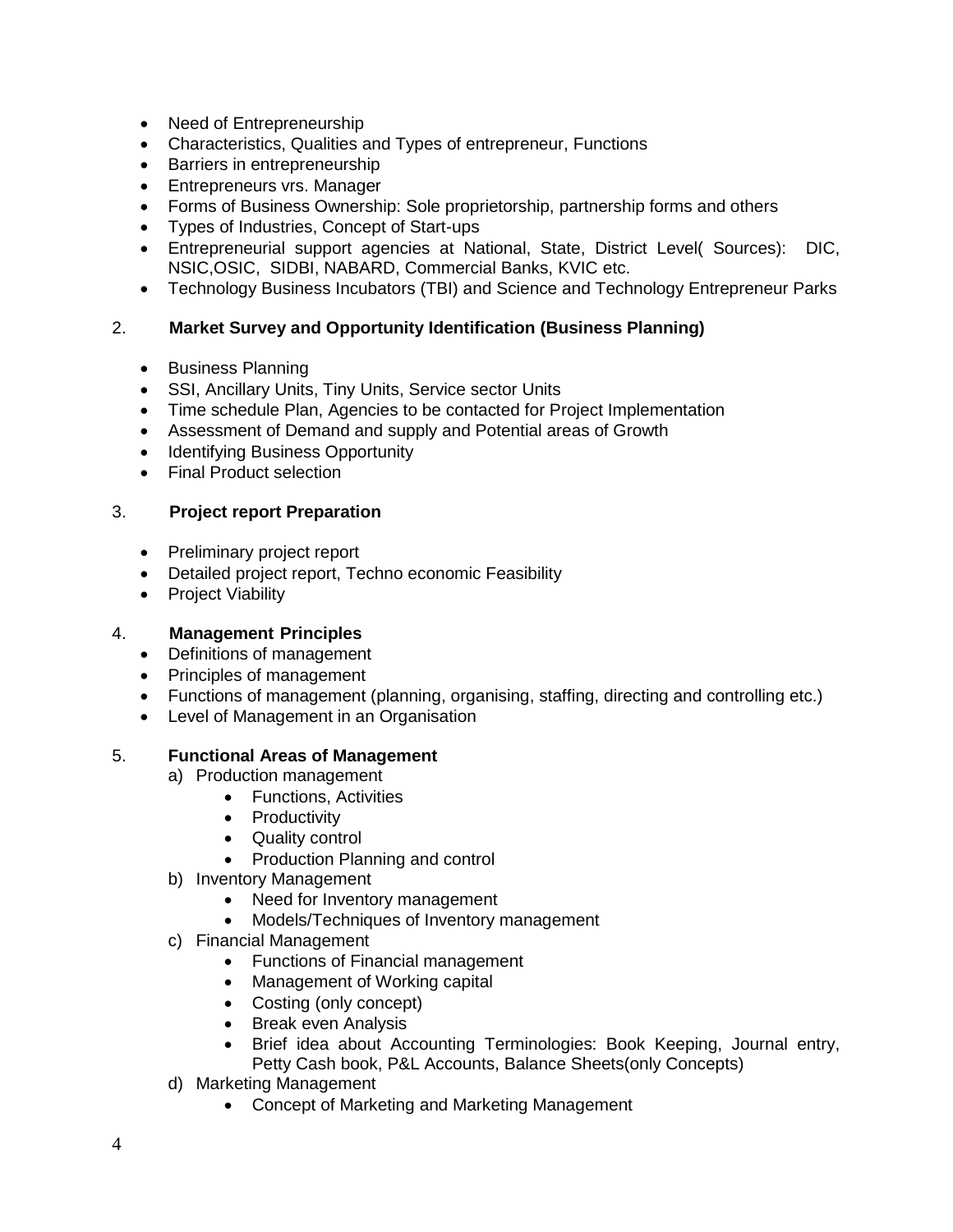- Need of Entrepreneurship
- Characteristics, Qualities and Types of entrepreneur, Functions
- Barriers in entrepreneurship
- Entrepreneurs vrs. Manager
- Forms of Business Ownership: Sole proprietorship, partnership forms and others
- Types of Industries, Concept of Start-ups
- Entrepreneurial support agencies at National, State, District Level( Sources): DIC, NSIC,OSIC, SIDBI, NABARD, Commercial Banks, KVIC etc.
- Technology Business Incubators (TBI) and Science and Technology Entrepreneur Parks

## 2. **Market Survey and Opportunity Identification (Business Planning)**

- Business Planning
- SSI, Ancillary Units, Tiny Units, Service sector Units
- Time schedule Plan, Agencies to be contacted for Project Implementation
- Assessment of Demand and supply and Potential areas of Growth
- Identifying Business Opportunity
- Final Product selection

#### 3. **Project report Preparation**

- Preliminary project report
- Detailed project report, Techno economic Feasibility
- Project Viability

#### 4. **Management Principles**

- Definitions of management
- Principles of management
- Functions of management (planning, organising, staffing, directing and controlling etc.)
- Level of Management in an Organisation

#### 5. **Functional Areas of Management**

- a) Production management
	- Functions, Activities
	- Productivity
	- Quality control
	- Production Planning and control
- b) Inventory Management
	- Need for Inventory management
	- Models/Techniques of Inventory management
- c) Financial Management
	- Functions of Financial management
	- Management of Working capital
	- Costing (only concept)
	- Break even Analysis
	- Brief idea about Accounting Terminologies: Book Keeping, Journal entry, Petty Cash book, P&L Accounts, Balance Sheets(only Concepts)
- d) Marketing Management
	- Concept of Marketing and Marketing Management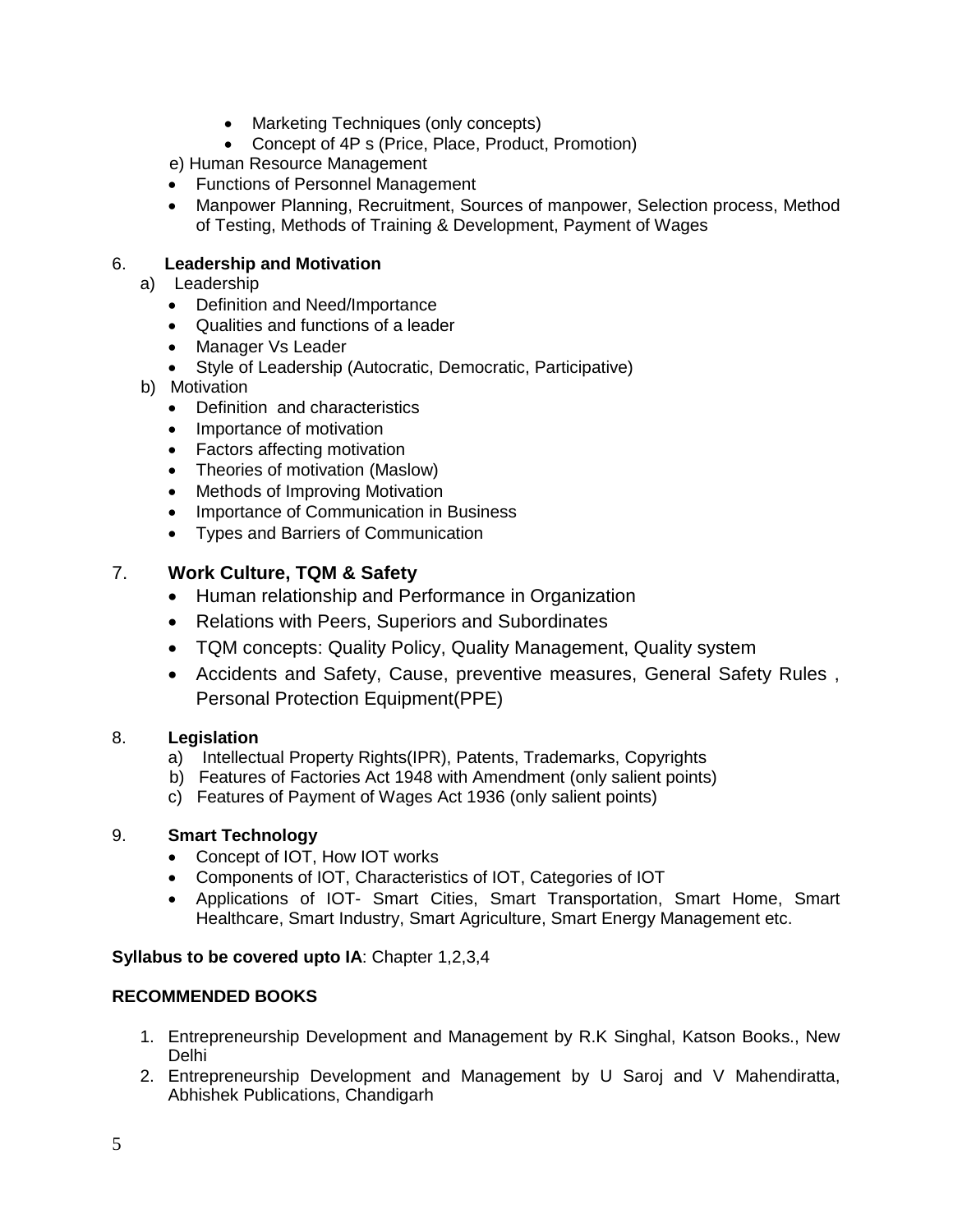- Marketing Techniques (only concepts)
- Concept of 4P s (Price, Place, Product, Promotion)

e) Human Resource Management

- Functions of Personnel Management
- Manpower Planning, Recruitment, Sources of manpower, Selection process, Method of Testing, Methods of Training & Development, Payment of Wages

## 6. **Leadership and Motivation**

- a) Leadership
	- Definition and Need/Importance
	- Qualities and functions of a leader
	- Manager Vs Leader
	- Style of Leadership (Autocratic, Democratic, Participative)
- b) Motivation
	- Definition and characteristics
	- Importance of motivation
	- Factors affecting motivation
	- Theories of motivation (Maslow)
	- Methods of Improving Motivation
	- Importance of Communication in Business
	- Types and Barriers of Communication

## 7. **Work Culture, TQM & Safety**

- Human relationship and Performance in Organization
- Relations with Peers, Superiors and Subordinates
- TQM concepts: Quality Policy, Quality Management, Quality system
- Accidents and Safety, Cause, preventive measures, General Safety Rules , Personal Protection Equipment(PPE)

#### 8. **Legislation**

- a) Intellectual Property Rights(IPR), Patents, Trademarks, Copyrights
- b) Features of Factories Act 1948 with Amendment (only salient points)
- c) Features of Payment of Wages Act 1936 (only salient points)

#### 9. **Smart Technology**

- Concept of IOT, How IOT works
- Components of IOT, Characteristics of IOT, Categories of IOT
- Applications of IOT- Smart Cities, Smart Transportation, Smart Home, Smart Healthcare, Smart Industry, Smart Agriculture, Smart Energy Management etc.

#### **Syllabus to be covered upto IA**: Chapter 1,2,3,4

#### **RECOMMENDED BOOKS**

- 1. Entrepreneurship Development and Management by R.K Singhal, Katson Books., New Delhi
- 2. Entrepreneurship Development and Management by U Saroj and V Mahendiratta, Abhishek Publications, Chandigarh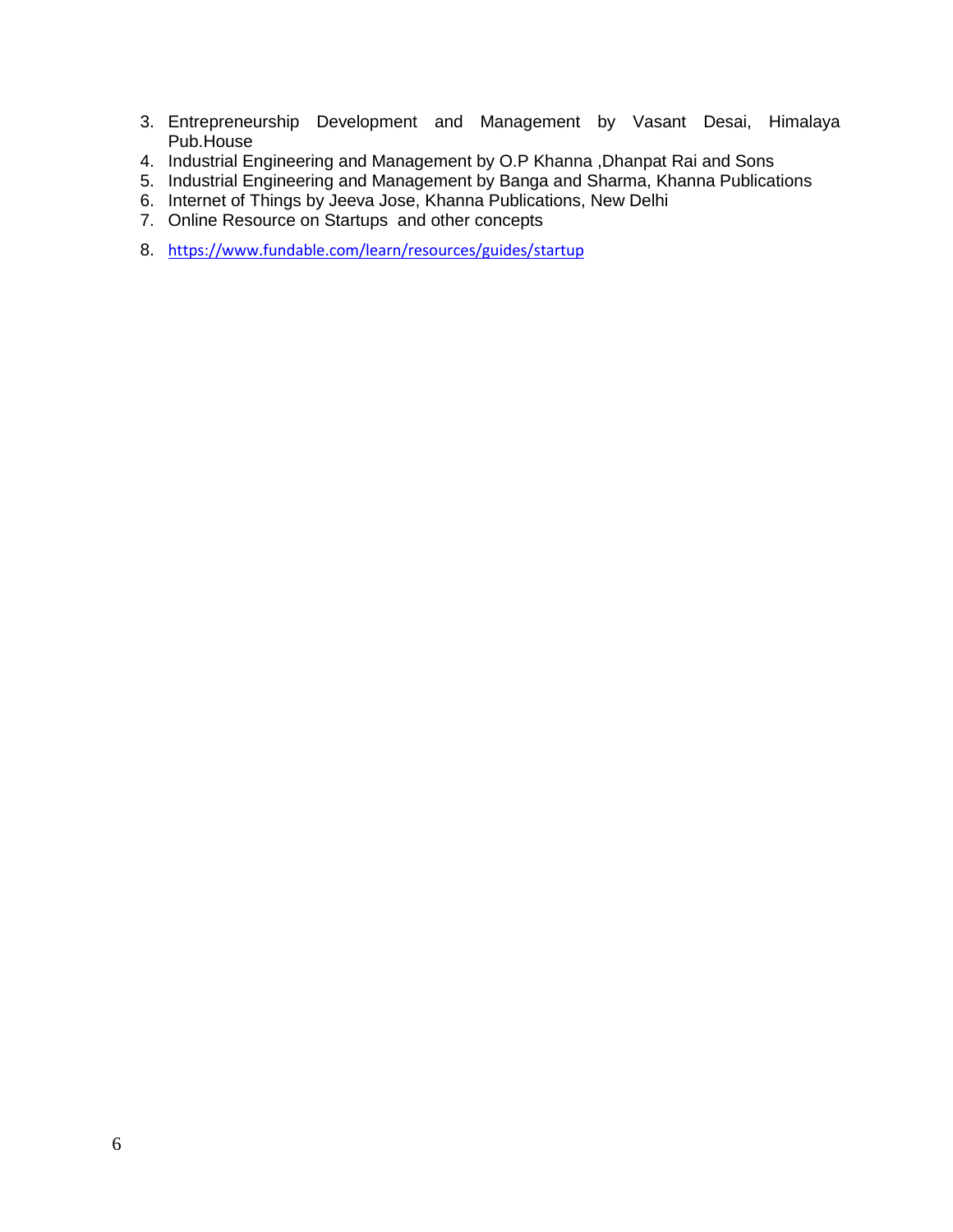- 3. Entrepreneurship Development and Management by Vasant Desai, Himalaya Pub.House
- 4. Industrial Engineering and Management by O.P Khanna ,Dhanpat Rai and Sons
- 5. Industrial Engineering and Management by Banga and Sharma, Khanna Publications
- 6. Internet of Things by Jeeva Jose, Khanna Publications, New Delhi
- 7. Online Resource on Startups and other concepts
- 8. <https://www.fundable.com/learn/resources/guides/startup>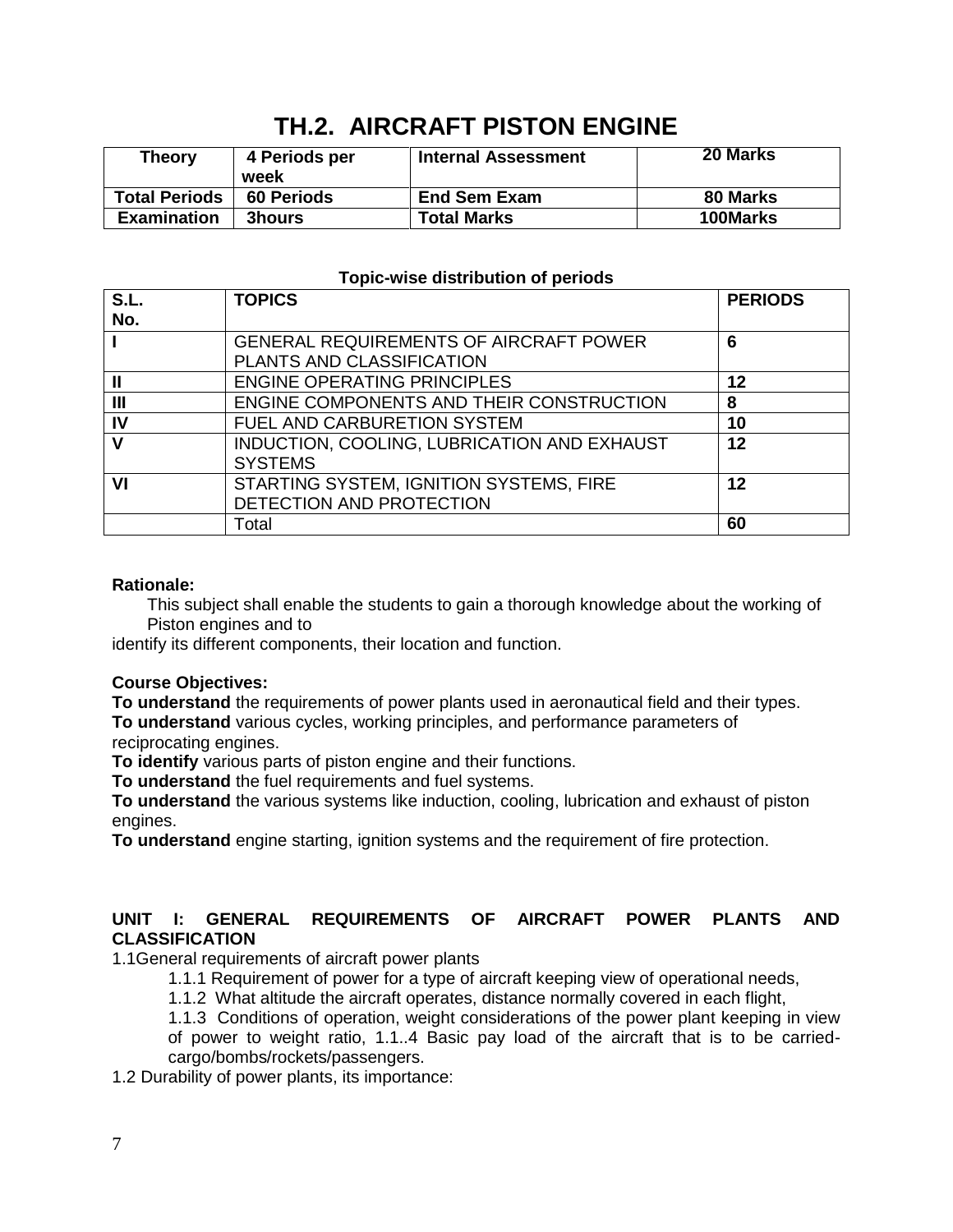| <b>Theory</b>        | 4 Periods per<br>week | <b>Internal Assessment</b> | 20 Marks |
|----------------------|-----------------------|----------------------------|----------|
| <b>Total Periods</b> | <b>60 Periods</b>     | <b>End Sem Exam</b>        | 80 Marks |
| <b>Examination</b>   | <b>3hours</b>         | <b>Total Marks</b>         | 100Marks |

## **TH.2. AIRCRAFT PISTON ENGINE**

#### **Topic-wise distribution of periods**

| S.L.         | <b>TOPICS</b>                                                       | <b>PERIODS</b> |
|--------------|---------------------------------------------------------------------|----------------|
| No.          |                                                                     |                |
|              | <b>GENERAL REQUIREMENTS OF AIRCRAFT POWER</b>                       | 6              |
|              | PLANTS AND CLASSIFICATION                                           |                |
| $\mathbf{I}$ | <b>ENGINE OPERATING PRINCIPLES</b>                                  | 12             |
| III          | ENGINE COMPONENTS AND THEIR CONSTRUCTION                            | 8              |
| IV           | FUEL AND CARBURETION SYSTEM                                         | 10             |
|              | INDUCTION, COOLING, LUBRICATION AND EXHAUST<br><b>SYSTEMS</b>       | 12             |
| VI           | STARTING SYSTEM, IGNITION SYSTEMS, FIRE<br>DETECTION AND PROTECTION | 12             |
|              | Total                                                               | 60             |

#### **Rationale:**

This subject shall enable the students to gain a thorough knowledge about the working of Piston engines and to

identify its different components, their location and function.

#### **Course Objectives:**

**To understand** the requirements of power plants used in aeronautical field and their types. **To understand** various cycles, working principles, and performance parameters of reciprocating engines.

**To identify** various parts of piston engine and their functions.

**To understand** the fuel requirements and fuel systems.

**To understand** the various systems like induction, cooling, lubrication and exhaust of piston engines.

**To understand** engine starting, ignition systems and the requirement of fire protection.

#### **UNIT I: GENERAL REQUIREMENTS OF AIRCRAFT POWER PLANTS AND CLASSIFICATION**

1.1General requirements of aircraft power plants

1.1.1 Requirement of power for a type of aircraft keeping view of operational needs,

1.1.2 What altitude the aircraft operates, distance normally covered in each flight,

1.1.3 Conditions of operation, weight considerations of the power plant keeping in view

of power to weight ratio, 1.1..4 Basic pay load of the aircraft that is to be carriedcargo/bombs/rockets/passengers.

1.2 Durability of power plants, its importance: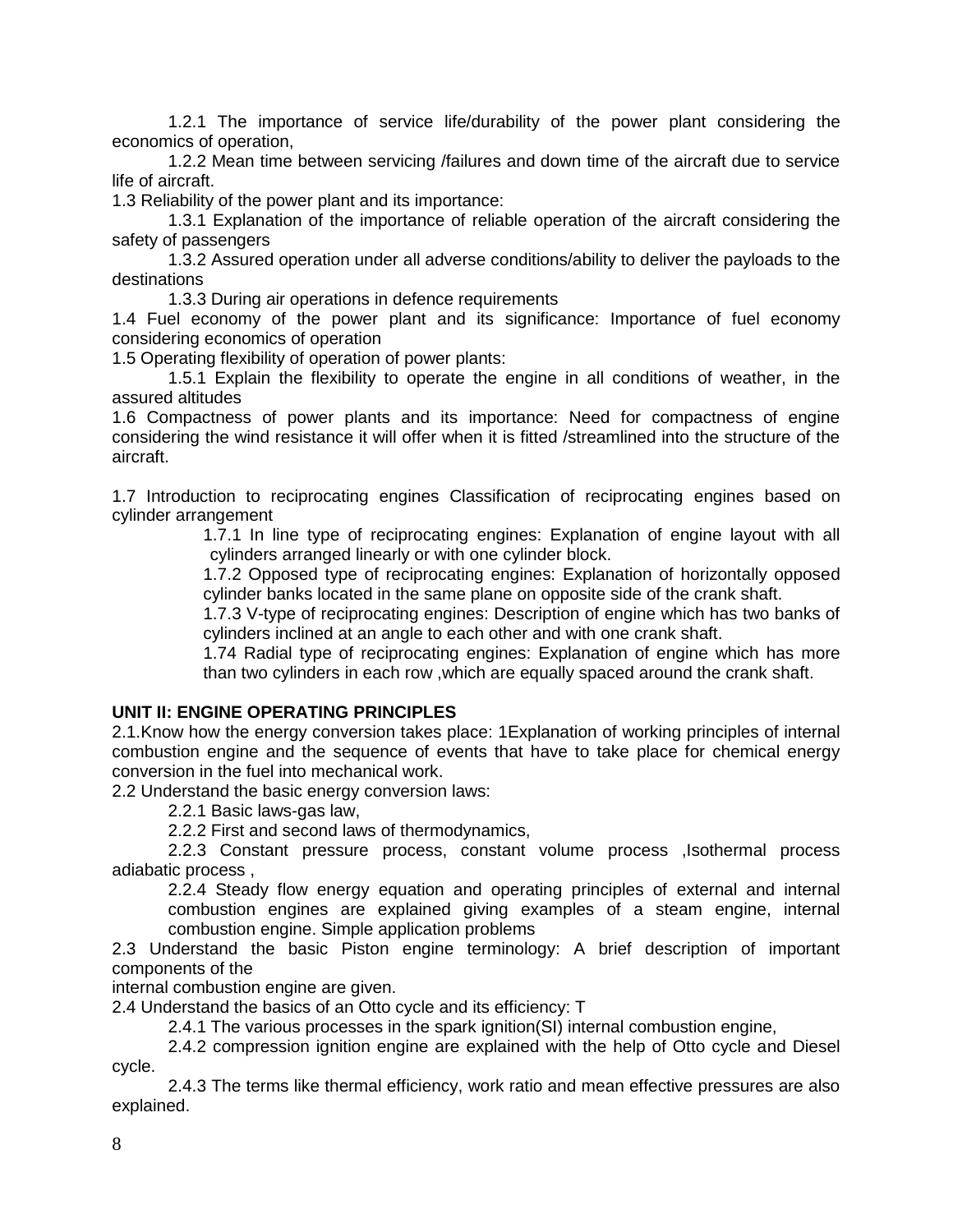1.2.1 The importance of service life/durability of the power plant considering the economics of operation,

1.2.2 Mean time between servicing /failures and down time of the aircraft due to service life of aircraft.

1.3 Reliability of the power plant and its importance:

1.3.1 Explanation of the importance of reliable operation of the aircraft considering the safety of passengers

1.3.2 Assured operation under all adverse conditions/ability to deliver the payloads to the destinations

1.3.3 During air operations in defence requirements

1.4 Fuel economy of the power plant and its significance: Importance of fuel economy considering economics of operation

1.5 Operating flexibility of operation of power plants:

1.5.1 Explain the flexibility to operate the engine in all conditions of weather, in the assured altitudes

1.6 Compactness of power plants and its importance: Need for compactness of engine considering the wind resistance it will offer when it is fitted /streamlined into the structure of the aircraft.

1.7 Introduction to reciprocating engines Classification of reciprocating engines based on cylinder arrangement

> 1.7.1 In line type of reciprocating engines: Explanation of engine layout with all cylinders arranged linearly or with one cylinder block.

> 1.7.2 Opposed type of reciprocating engines: Explanation of horizontally opposed cylinder banks located in the same plane on opposite side of the crank shaft.

> 1.7.3 V-type of reciprocating engines: Description of engine which has two banks of cylinders inclined at an angle to each other and with one crank shaft.

> 1.74 Radial type of reciprocating engines: Explanation of engine which has more than two cylinders in each row ,which are equally spaced around the crank shaft.

#### **UNIT II: ENGINE OPERATING PRINCIPLES**

2.1.Know how the energy conversion takes place: 1Explanation of working principles of internal combustion engine and the sequence of events that have to take place for chemical energy conversion in the fuel into mechanical work.

2.2 Understand the basic energy conversion laws:

2.2.1 Basic laws-gas law,

2.2.2 First and second laws of thermodynamics,

2.2.3 Constant pressure process, constant volume process ,Isothermal process adiabatic process ,

2.2.4 Steady flow energy equation and operating principles of external and internal combustion engines are explained giving examples of a steam engine, internal combustion engine. Simple application problems

2.3 Understand the basic Piston engine terminology: A brief description of important components of the

internal combustion engine are given.

2.4 Understand the basics of an Otto cycle and its efficiency: T

2.4.1 The various processes in the spark ignition(SI) internal combustion engine,

2.4.2 compression ignition engine are explained with the help of Otto cycle and Diesel cycle.

2.4.3 The terms like thermal efficiency, work ratio and mean effective pressures are also explained.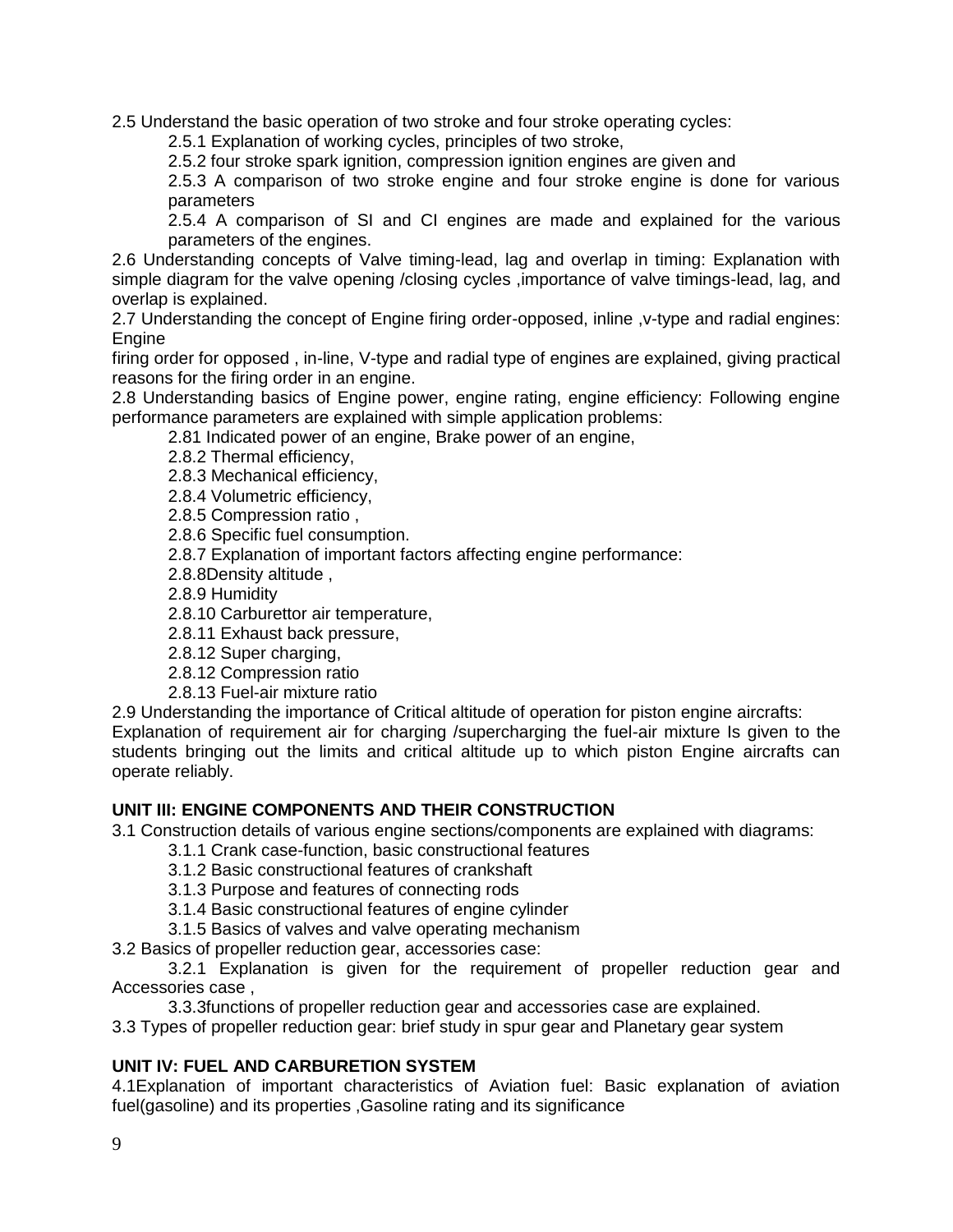2.5 Understand the basic operation of two stroke and four stroke operating cycles:

2.5.1 Explanation of working cycles, principles of two stroke,

2.5.2 four stroke spark ignition, compression ignition engines are given and

2.5.3 A comparison of two stroke engine and four stroke engine is done for various parameters

2.5.4 A comparison of SI and CI engines are made and explained for the various parameters of the engines.

2.6 Understanding concepts of Valve timing-lead, lag and overlap in timing: Explanation with simple diagram for the valve opening /closing cycles ,importance of valve timings-lead, lag, and overlap is explained.

2.7 Understanding the concept of Engine firing order-opposed, inline ,v-type and radial engines: **Engine** 

firing order for opposed , in-line, V-type and radial type of engines are explained, giving practical reasons for the firing order in an engine.

2.8 Understanding basics of Engine power, engine rating, engine efficiency: Following engine performance parameters are explained with simple application problems:

2.81 Indicated power of an engine, Brake power of an engine,

2.8.2 Thermal efficiency,

2.8.3 Mechanical efficiency,

2.8.4 Volumetric efficiency,

2.8.5 Compression ratio ,

2.8.6 Specific fuel consumption.

2.8.7 Explanation of important factors affecting engine performance:

2.8.8Density altitude ,

2.8.9 Humidity

2.8.10 Carburettor air temperature,

2.8.11 Exhaust back pressure,

2.8.12 Super charging,

2.8.12 Compression ratio

2.8.13 Fuel-air mixture ratio

2.9 Understanding the importance of Critical altitude of operation for piston engine aircrafts: Explanation of requirement air for charging /supercharging the fuel-air mixture Is given to the students bringing out the limits and critical altitude up to which piston Engine aircrafts can operate reliably.

#### **UNIT III: ENGINE COMPONENTS AND THEIR CONSTRUCTION**

3.1 Construction details of various engine sections/components are explained with diagrams:

- 3.1.1 Crank case-function, basic constructional features
- 3.1.2 Basic constructional features of crankshaft
- 3.1.3 Purpose and features of connecting rods
- 3.1.4 Basic constructional features of engine cylinder

3.1.5 Basics of valves and valve operating mechanism

3.2 Basics of propeller reduction gear, accessories case:

3.2.1 Explanation is given for the requirement of propeller reduction gear and Accessories case ,

3.3.3functions of propeller reduction gear and accessories case are explained.

3.3 Types of propeller reduction gear: brief study in spur gear and Planetary gear system

#### **UNIT IV: FUEL AND CARBURETION SYSTEM**

4.1Explanation of important characteristics of Aviation fuel: Basic explanation of aviation fuel(gasoline) and its properties ,Gasoline rating and its significance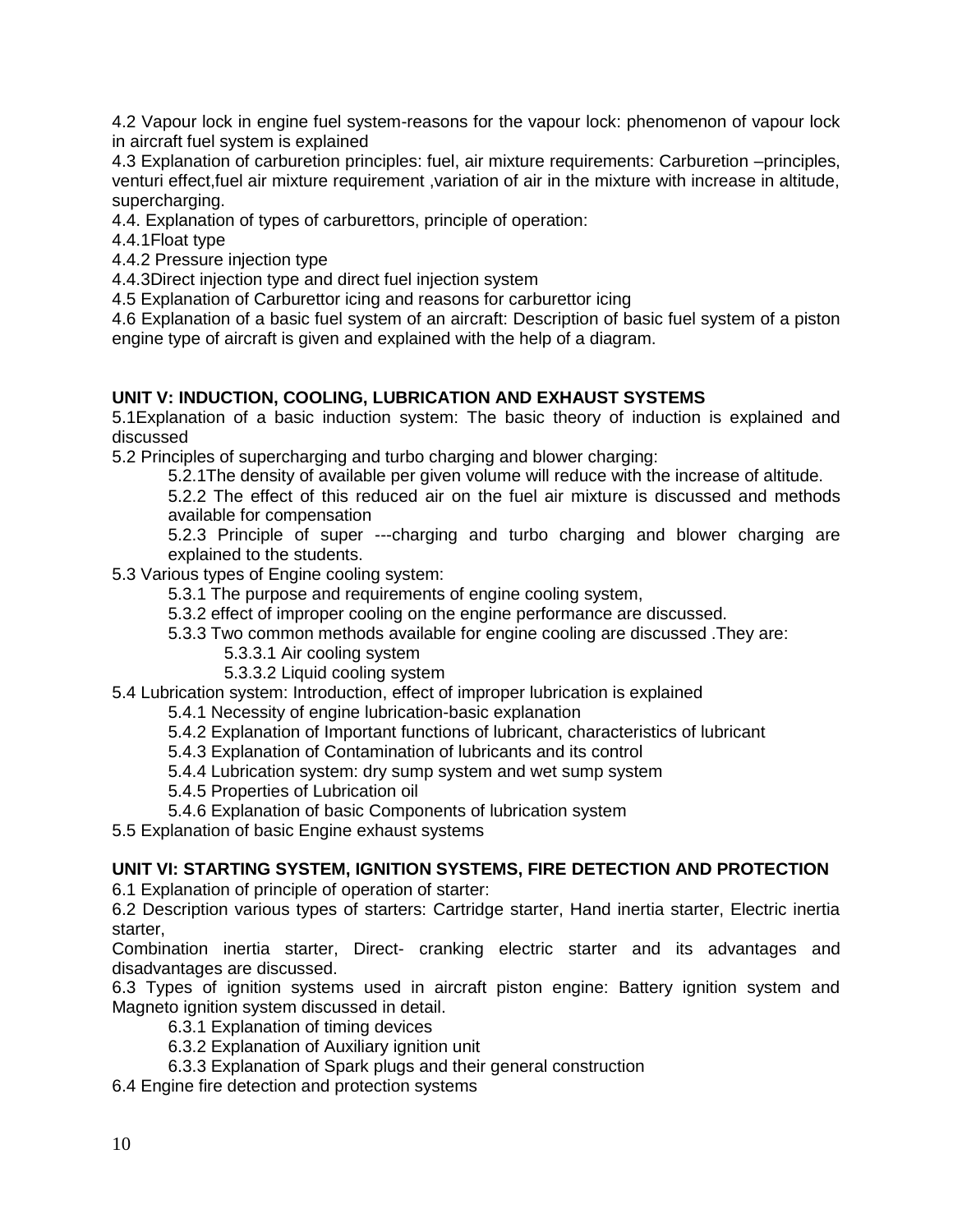4.2 Vapour lock in engine fuel system-reasons for the vapour lock: phenomenon of vapour lock in aircraft fuel system is explained

4.3 Explanation of carburetion principles: fuel, air mixture requirements: Carburetion –principles, venturi effect,fuel air mixture requirement ,variation of air in the mixture with increase in altitude, supercharging.

4.4. Explanation of types of carburettors, principle of operation:

4.4.1Float type

4.4.2 Pressure injection type

4.4.3Direct injection type and direct fuel injection system

4.5 Explanation of Carburettor icing and reasons for carburettor icing

4.6 Explanation of a basic fuel system of an aircraft: Description of basic fuel system of a piston engine type of aircraft is given and explained with the help of a diagram.

## **UNIT V: INDUCTION, COOLING, LUBRICATION AND EXHAUST SYSTEMS**

5.1Explanation of a basic induction system: The basic theory of induction is explained and discussed

5.2 Principles of supercharging and turbo charging and blower charging:

5.2.1The density of available per given volume will reduce with the increase of altitude.

5.2.2 The effect of this reduced air on the fuel air mixture is discussed and methods available for compensation

5.2.3 Principle of super ---charging and turbo charging and blower charging are explained to the students.

5.3 Various types of Engine cooling system:

5.3.1 The purpose and requirements of engine cooling system,

5.3.2 effect of improper cooling on the engine performance are discussed.

5.3.3 Two common methods available for engine cooling are discussed .They are:

#### 5.3.3.1 Air cooling system

5.3.3.2 Liquid cooling system

5.4 Lubrication system: Introduction, effect of improper lubrication is explained

5.4.1 Necessity of engine lubrication-basic explanation

5.4.2 Explanation of Important functions of lubricant, characteristics of lubricant

5.4.3 Explanation of Contamination of lubricants and its control

5.4.4 Lubrication system: dry sump system and wet sump system

5.4.5 Properties of Lubrication oil

5.4.6 Explanation of basic Components of lubrication system

5.5 Explanation of basic Engine exhaust systems

#### **UNIT VI: STARTING SYSTEM, IGNITION SYSTEMS, FIRE DETECTION AND PROTECTION**

6.1 Explanation of principle of operation of starter:

6.2 Description various types of starters: Cartridge starter, Hand inertia starter, Electric inertia starter,

Combination inertia starter, Direct- cranking electric starter and its advantages and disadvantages are discussed.

6.3 Types of ignition systems used in aircraft piston engine: Battery ignition system and Magneto ignition system discussed in detail.

6.3.1 Explanation of timing devices

6.3.2 Explanation of Auxiliary ignition unit

6.3.3 Explanation of Spark plugs and their general construction

6.4 Engine fire detection and protection systems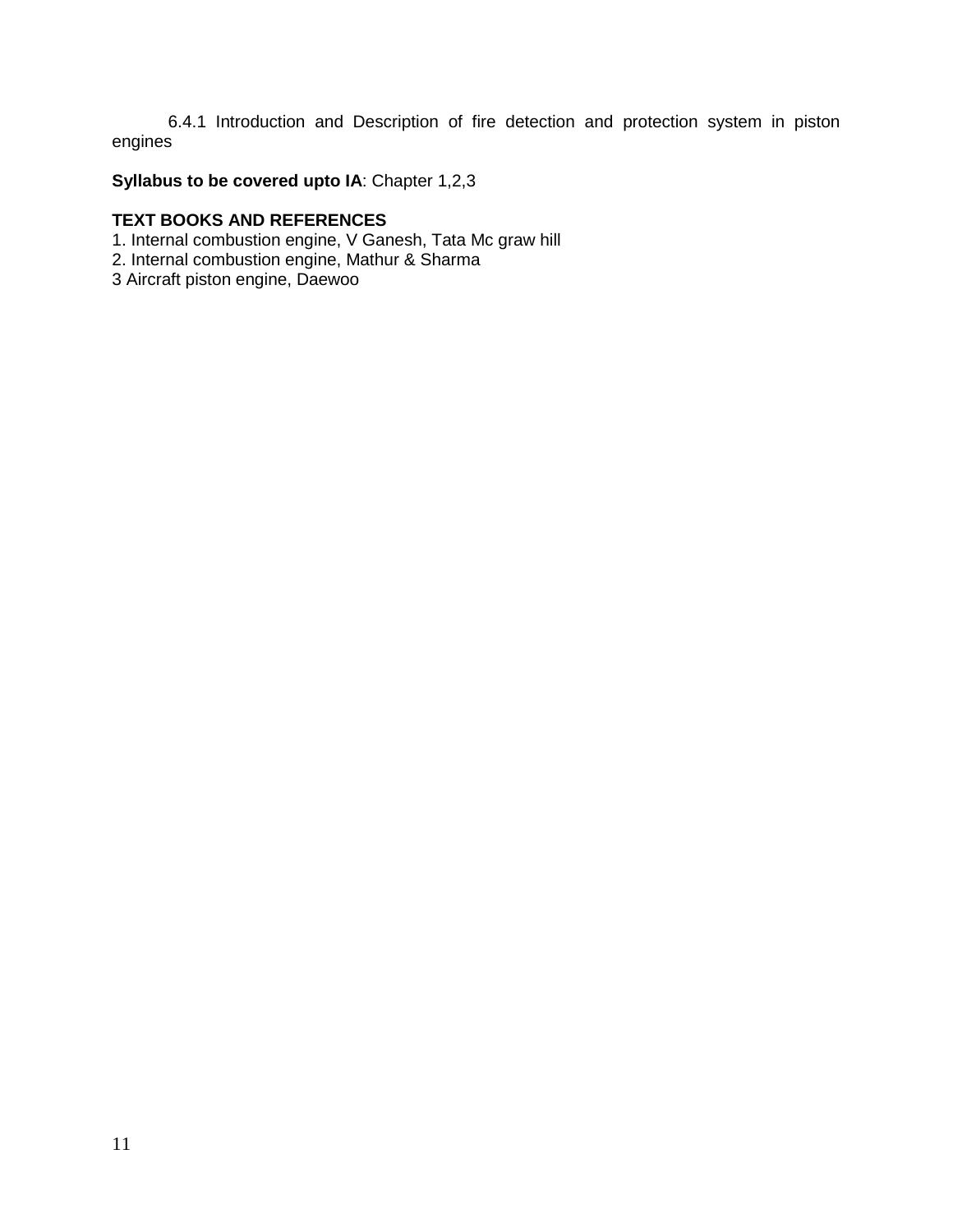6.4.1 Introduction and Description of fire detection and protection system in piston engines

## **Syllabus to be covered upto IA**: Chapter 1,2,3

#### **TEXT BOOKS AND REFERENCES**

- 1. Internal combustion engine, V Ganesh, Tata Mc graw hill
- 2. Internal combustion engine, Mathur & Sharma
- 3 Aircraft piston engine, Daewoo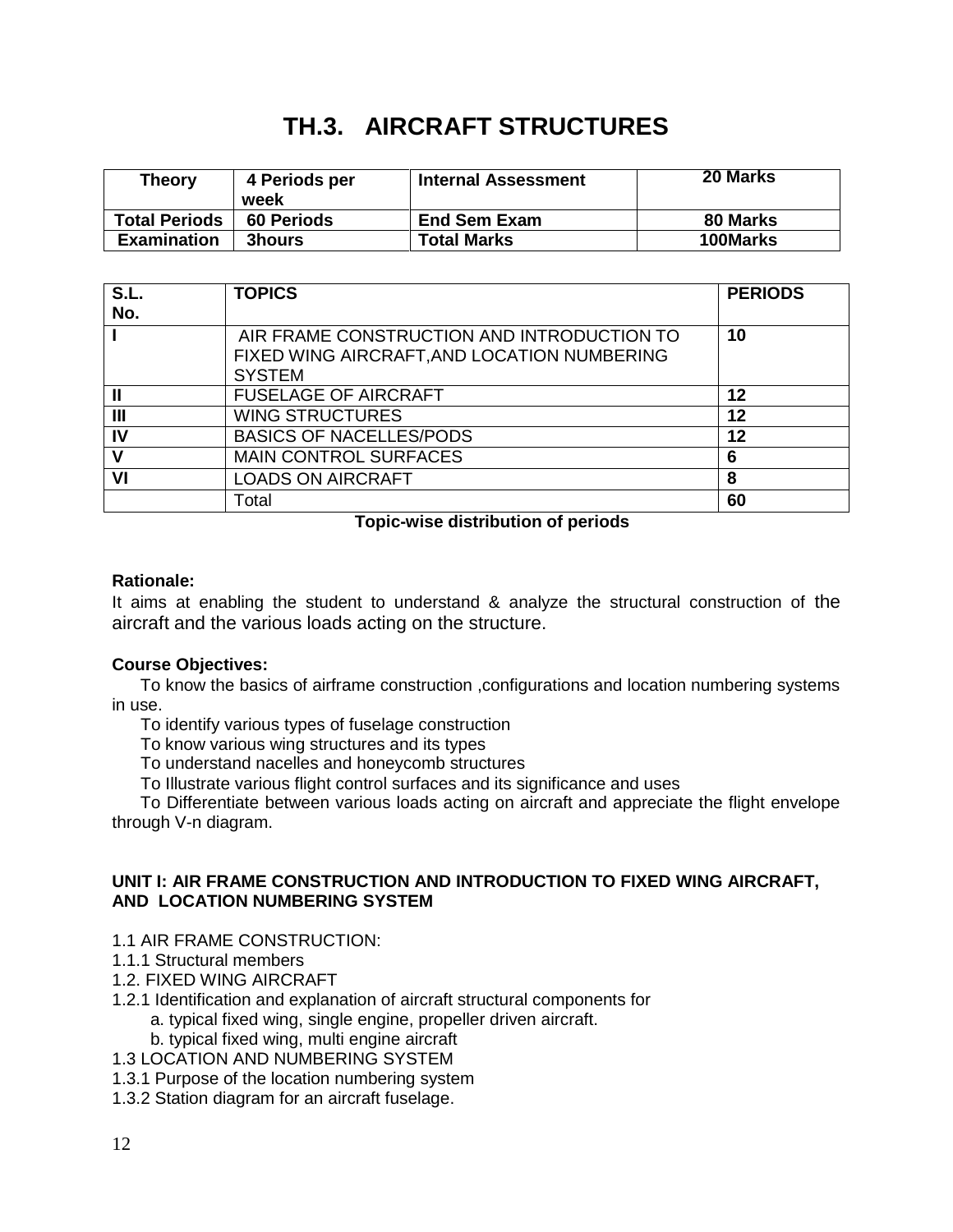## **TH.3. AIRCRAFT STRUCTURES**

| <b>Theory</b>        | 4 Periods per<br>week | <b>Internal Assessment</b> | 20 Marks |
|----------------------|-----------------------|----------------------------|----------|
| <b>Total Periods</b> | <b>60 Periods</b>     | <b>End Sem Exam</b>        | 80 Marks |
| <b>Examination</b>   | <b>3hours</b>         | <b>Total Marks</b>         | 100Marks |

| S.L.<br>No.    | <b>TOPICS</b>                                                                                              | <b>PERIODS</b> |
|----------------|------------------------------------------------------------------------------------------------------------|----------------|
|                | AIR FRAME CONSTRUCTION AND INTRODUCTION TO<br>FIXED WING AIRCRAFT, AND LOCATION NUMBERING<br><b>SYSTEM</b> | 10             |
|                | <b>FUSELAGE OF AIRCRAFT</b>                                                                                | 12             |
| $\mathbf{III}$ | <b>WING STRUCTURES</b>                                                                                     | 12             |
| IV             | <b>BASICS OF NACELLES/PODS</b>                                                                             | 12             |
| ۷              | <b>MAIN CONTROL SURFACES</b>                                                                               | 6              |
| VI             | <b>LOADS ON AIRCRAFT</b>                                                                                   | 8              |
|                | Total                                                                                                      | 60             |

## **Topic-wise distribution of periods**

## **Rationale:**

It aims at enabling the student to understand & analyze the structural construction of the aircraft and the various loads acting on the structure.

## **Course Objectives:**

 To know the basics of airframe construction ,configurations and location numbering systems in use.

To identify various types of fuselage construction

To know various wing structures and its types

To understand nacelles and honeycomb structures

To Illustrate various flight control surfaces and its significance and uses

 To Differentiate between various loads acting on aircraft and appreciate the flight envelope through V-n diagram.

#### **UNIT I: AIR FRAME CONSTRUCTION AND INTRODUCTION TO FIXED WING AIRCRAFT, AND LOCATION NUMBERING SYSTEM**

- 1.1 AIR FRAME CONSTRUCTION:
- 1.1.1 Structural members
- 1.2. FIXED WING AIRCRAFT
- 1.2.1 Identification and explanation of aircraft structural components for
	- a. typical fixed wing, single engine, propeller driven aircraft.
	- b. typical fixed wing, multi engine aircraft
- 1.3 LOCATION AND NUMBERING SYSTEM
- 1.3.1 Purpose of the location numbering system
- 1.3.2 Station diagram for an aircraft fuselage.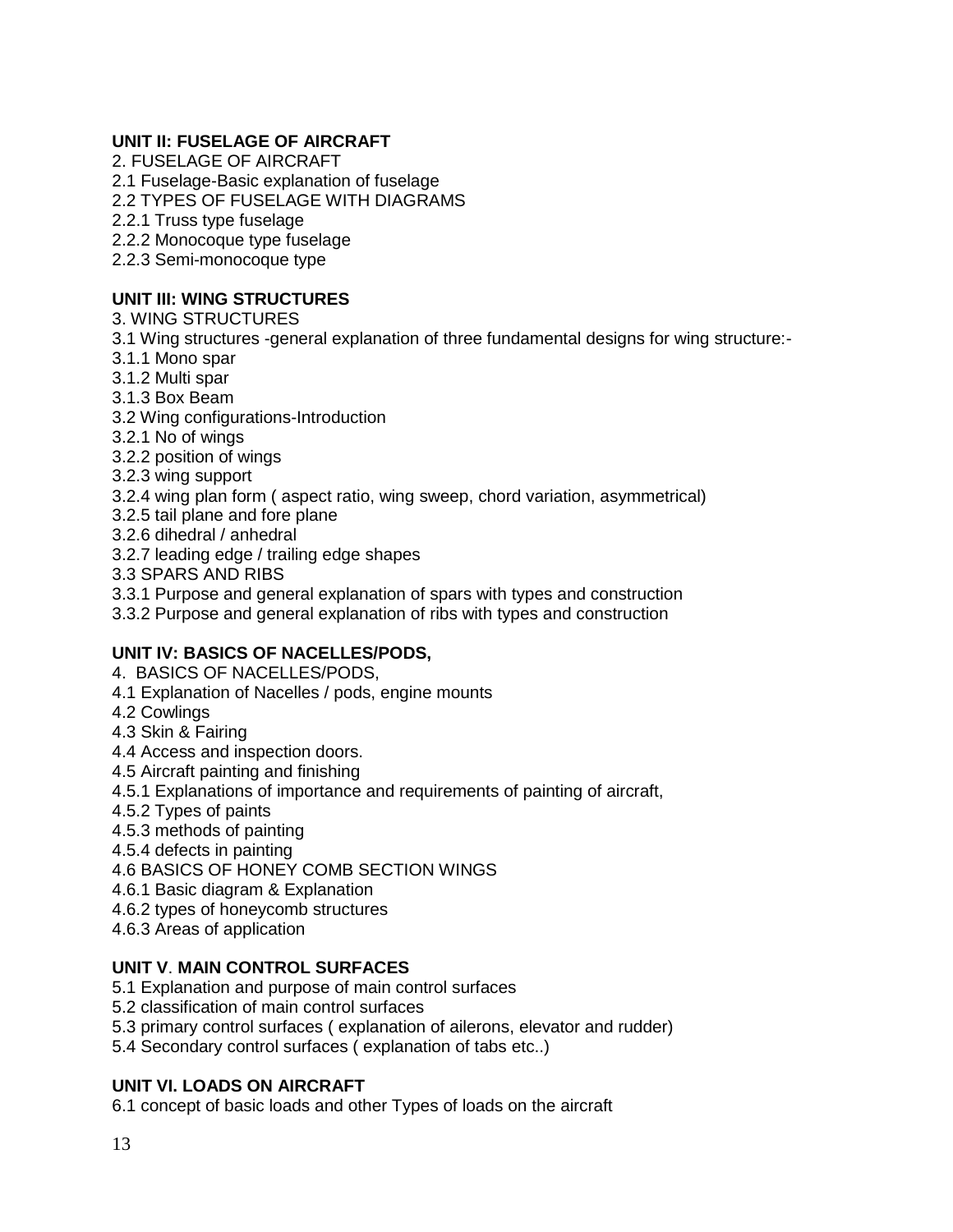## **UNIT II: FUSELAGE OF AIRCRAFT**

2. FUSELAGE OF AIRCRAFT 2.1 Fuselage-Basic explanation of fuselage

2.2 TYPES OF FUSELAGE WITH DIAGRAMS

2.2.1 Truss type fuselage

2.2.2 Monocoque type fuselage

2.2.3 Semi-monocoque type

## **UNIT III: WING STRUCTURES**

3. WING STRUCTURES

- 3.1 Wing structures -general explanation of three fundamental designs for wing structure:-
- 3.1.1 Mono spar
- 3.1.2 Multi spar
- 3.1.3 Box Beam
- 3.2 Wing configurations-Introduction
- 3.2.1 No of wings
- 3.2.2 position of wings
- 3.2.3 wing support
- 3.2.4 wing plan form ( aspect ratio, wing sweep, chord variation, asymmetrical)
- 3.2.5 tail plane and fore plane
- 3.2.6 dihedral / anhedral
- 3.2.7 leading edge / trailing edge shapes
- 3.3 SPARS AND RIBS

3.3.1 Purpose and general explanation of spars with types and construction

3.3.2 Purpose and general explanation of ribs with types and construction

#### **UNIT IV: BASICS OF NACELLES/PODS,**

4. BASICS OF NACELLES/PODS,

- 4.1 Explanation of Nacelles / pods, engine mounts
- 4.2 Cowlings
- 4.3 Skin & Fairing
- 4.4 Access and inspection doors.
- 4.5 Aircraft painting and finishing
- 4.5.1 Explanations of importance and requirements of painting of aircraft,
- 4.5.2 Types of paints
- 4.5.3 methods of painting
- 4.5.4 defects in painting
- 4.6 BASICS OF HONEY COMB SECTION WINGS
- 4.6.1 Basic diagram & Explanation
- 4.6.2 types of honeycomb structures
- 4.6.3 Areas of application

#### **UNIT V**. **MAIN CONTROL SURFACES**

- 5.1 Explanation and purpose of main control surfaces
- 5.2 classification of main control surfaces
- 5.3 primary control surfaces ( explanation of ailerons, elevator and rudder)
- 5.4 Secondary control surfaces ( explanation of tabs etc..)

#### **UNIT VI. LOADS ON AIRCRAFT**

6.1 concept of basic loads and other Types of loads on the aircraft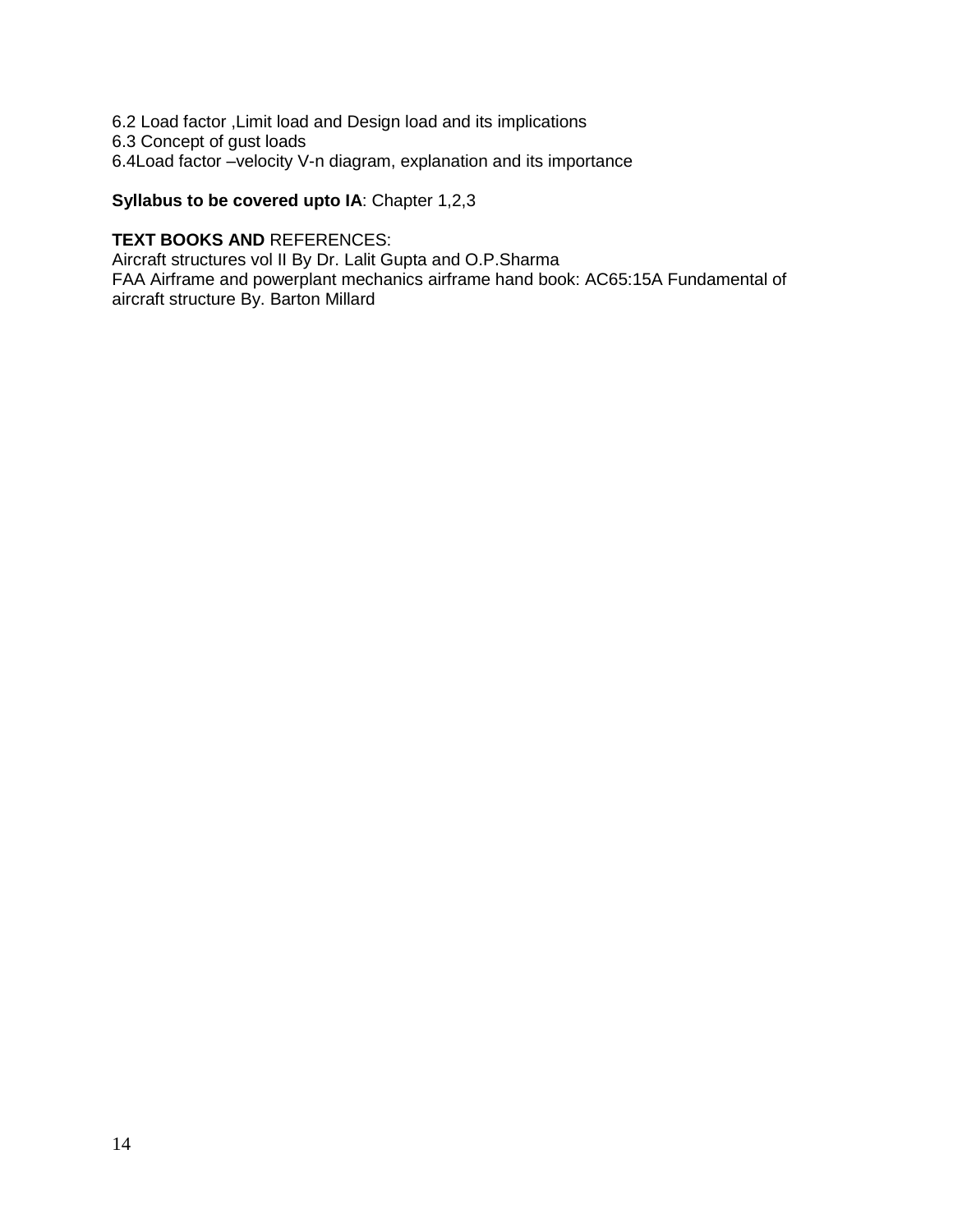6.2 Load factor ,Limit load and Design load and its implications 6.3 Concept of gust loads 6.4Load factor –velocity V-n diagram, explanation and its importance

**Syllabus to be covered upto IA**: Chapter 1,2,3

#### **TEXT BOOKS AND** REFERENCES:

Aircraft structures vol II By Dr. Lalit Gupta and O.P.Sharma FAA Airframe and powerplant mechanics airframe hand book: AC65:15A Fundamental of aircraft structure By. Barton Millard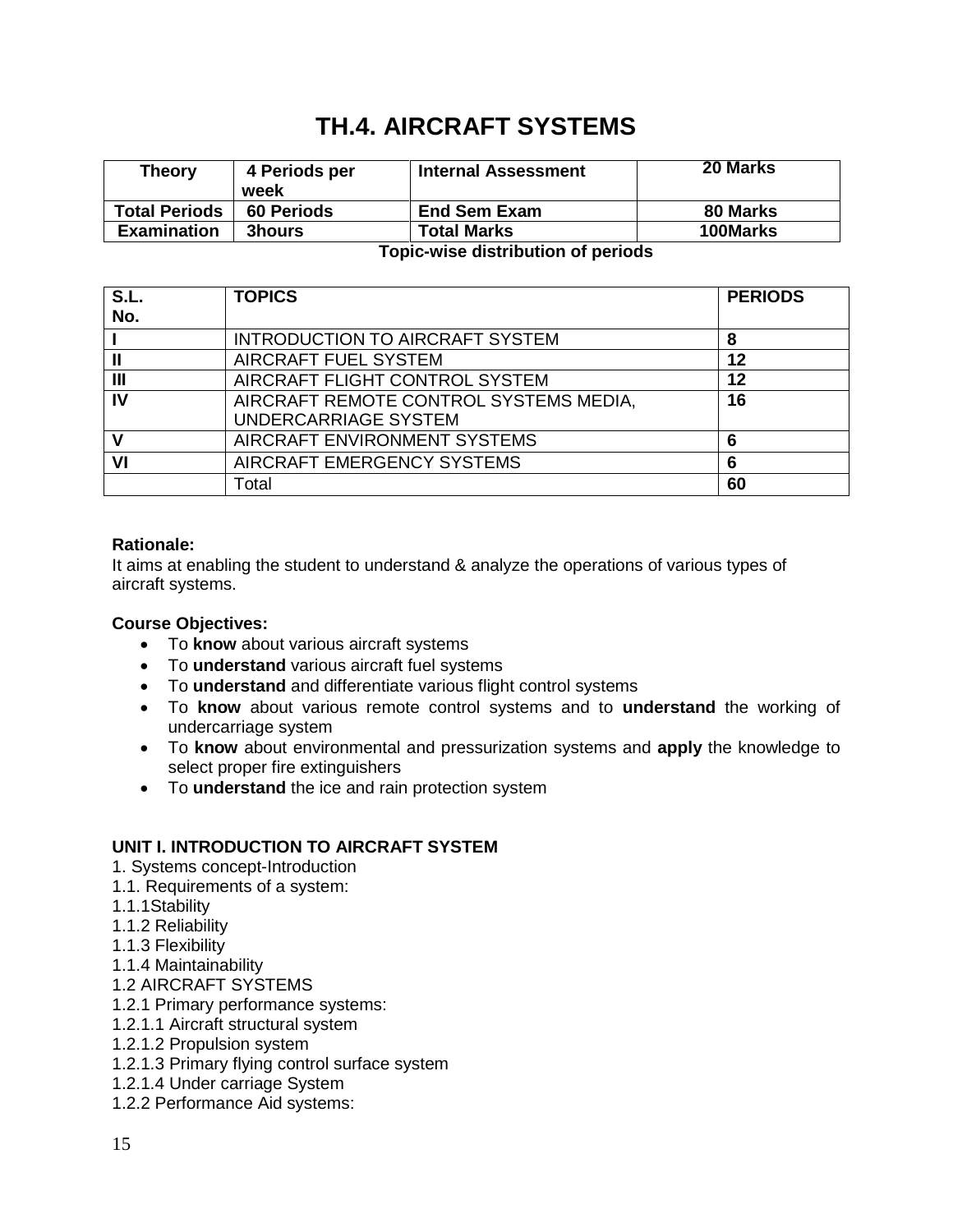## **TH.4. AIRCRAFT SYSTEMS**

| <b>Theory</b>        | 4 Periods per<br>week | <b>Internal Assessment</b> | <b>20 Marks</b> |
|----------------------|-----------------------|----------------------------|-----------------|
| <b>Total Periods</b> | <b>60 Periods</b>     | <b>End Sem Exam</b>        | 80 Marks        |
| <b>Examination</b>   | <b>3hours</b>         | <b>Total Marks</b>         | 100Marks        |

#### **Topic-wise distribution of periods**

| S.L.           | <b>TOPICS</b>                          | <b>PERIODS</b> |
|----------------|----------------------------------------|----------------|
| No.            |                                        |                |
|                | <b>INTRODUCTION TO AIRCRAFT SYSTEM</b> | 8              |
|                | AIRCRAFT FUEL SYSTEM                   | 12             |
| $\mathbf{III}$ | AIRCRAFT FLIGHT CONTROL SYSTEM         | 12             |
| $\mathbf{v}$   | AIRCRAFT REMOTE CONTROL SYSTEMS MEDIA, | 16             |
|                | UNDERCARRIAGE SYSTEM                   |                |
|                | AIRCRAFT ENVIRONMENT SYSTEMS           | 6              |
| VI             | AIRCRAFT EMERGENCY SYSTEMS             | 6              |
|                | Total                                  | 60             |

#### **Rationale:**

It aims at enabling the student to understand & analyze the operations of various types of aircraft systems.

#### **Course Objectives:**

- To **know** about various aircraft systems
- To **understand** various aircraft fuel systems
- To **understand** and differentiate various flight control systems
- To **know** about various remote control systems and to **understand** the working of undercarriage system
- To **know** about environmental and pressurization systems and **apply** the knowledge to select proper fire extinguishers
- To **understand** the ice and rain protection system

#### **UNIT I. INTRODUCTION TO AIRCRAFT SYSTEM**

- 1. Systems concept-Introduction
- 1.1. Requirements of a system:
- 1.1.1Stability
- 1.1.2 Reliability
- 1.1.3 Flexibility
- 1.1.4 Maintainability
- 1.2 AIRCRAFT SYSTEMS
- 1.2.1 Primary performance systems:
- 1.2.1.1 Aircraft structural system
- 1.2.1.2 Propulsion system
- 1.2.1.3 Primary flying control surface system
- 1.2.1.4 Under carriage System
- 1.2.2 Performance Aid systems: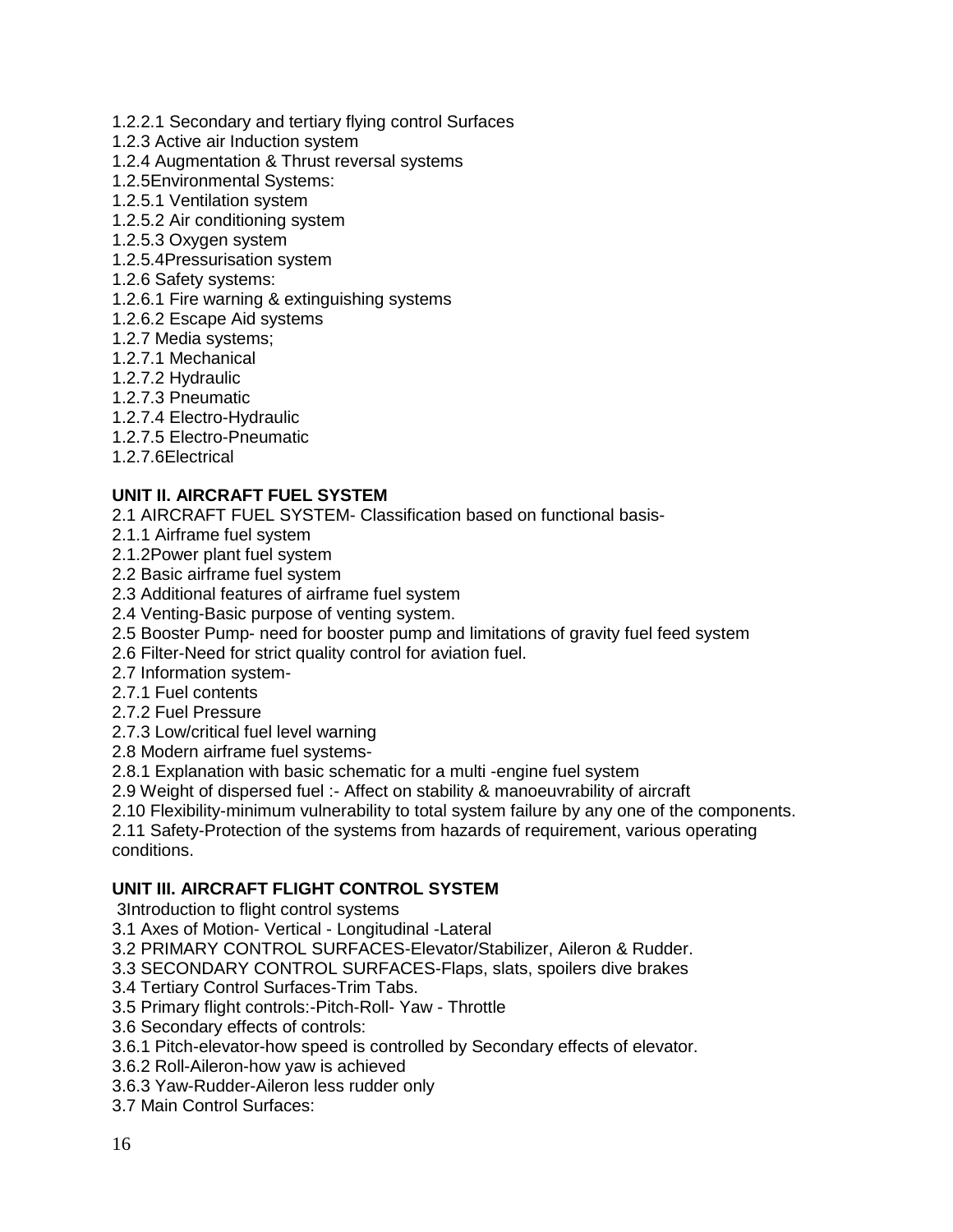- 1.2.2.1 Secondary and tertiary flying control Surfaces
- 1.2.3 Active air Induction system
- 1.2.4 Augmentation & Thrust reversal systems
- 1.2.5Environmental Systems:
- 1.2.5.1 Ventilation system
- 1.2.5.2 Air conditioning system
- 1.2.5.3 Oxygen system
- 1.2.5.4Pressurisation system
- 1.2.6 Safety systems:
- 1.2.6.1 Fire warning & extinguishing systems
- 1.2.6.2 Escape Aid systems
- 1.2.7 Media systems;
- 1.2.7.1 Mechanical
- 1.2.7.2 Hydraulic
- 1.2.7.3 Pneumatic
- 1.2.7.4 Electro-Hydraulic
- 1.2.7.5 Electro-Pneumatic
- 1.2.7.6Electrical

## **UNIT II. AIRCRAFT FUEL SYSTEM**

2.1 AIRCRAFT FUEL SYSTEM- Classification based on functional basis-

- 2.1.1 Airframe fuel system
- 2.1.2Power plant fuel system
- 2.2 Basic airframe fuel system
- 2.3 Additional features of airframe fuel system
- 2.4 Venting-Basic purpose of venting system.
- 2.5 Booster Pump- need for booster pump and limitations of gravity fuel feed system
- 2.6 Filter-Need for strict quality control for aviation fuel.
- 2.7 Information system-
- 2.7.1 Fuel contents
- 2.7.2 Fuel Pressure
- 2.7.3 Low/critical fuel level warning
- 2.8 Modern airframe fuel systems-

2.8.1 Explanation with basic schematic for a multi -engine fuel system

- 2.9 Weight of dispersed fuel :- Affect on stability & manoeuvrability of aircraft
- 2.10 Flexibility-minimum vulnerability to total system failure by any one of the components.

2.11 Safety-Protection of the systems from hazards of requirement, various operating conditions.

#### **UNIT III. AIRCRAFT FLIGHT CONTROL SYSTEM**

3Introduction to flight control systems

3.1 Axes of Motion- Vertical - Longitudinal -Lateral

3.2 PRIMARY CONTROL SURFACES-Elevator/Stabilizer, Aileron & Rudder.

3.3 SECONDARY CONTROL SURFACES-Flaps, slats, spoilers dive brakes

3.4 Tertiary Control Surfaces-Trim Tabs.

3.5 Primary flight controls:-Pitch-Roll- Yaw - Throttle

3.6 Secondary effects of controls:

3.6.1 Pitch-elevator-how speed is controlled by Secondary effects of elevator.

3.6.2 Roll-Aileron-how yaw is achieved

- 3.6.3 Yaw-Rudder-Aileron less rudder only
- 3.7 Main Control Surfaces: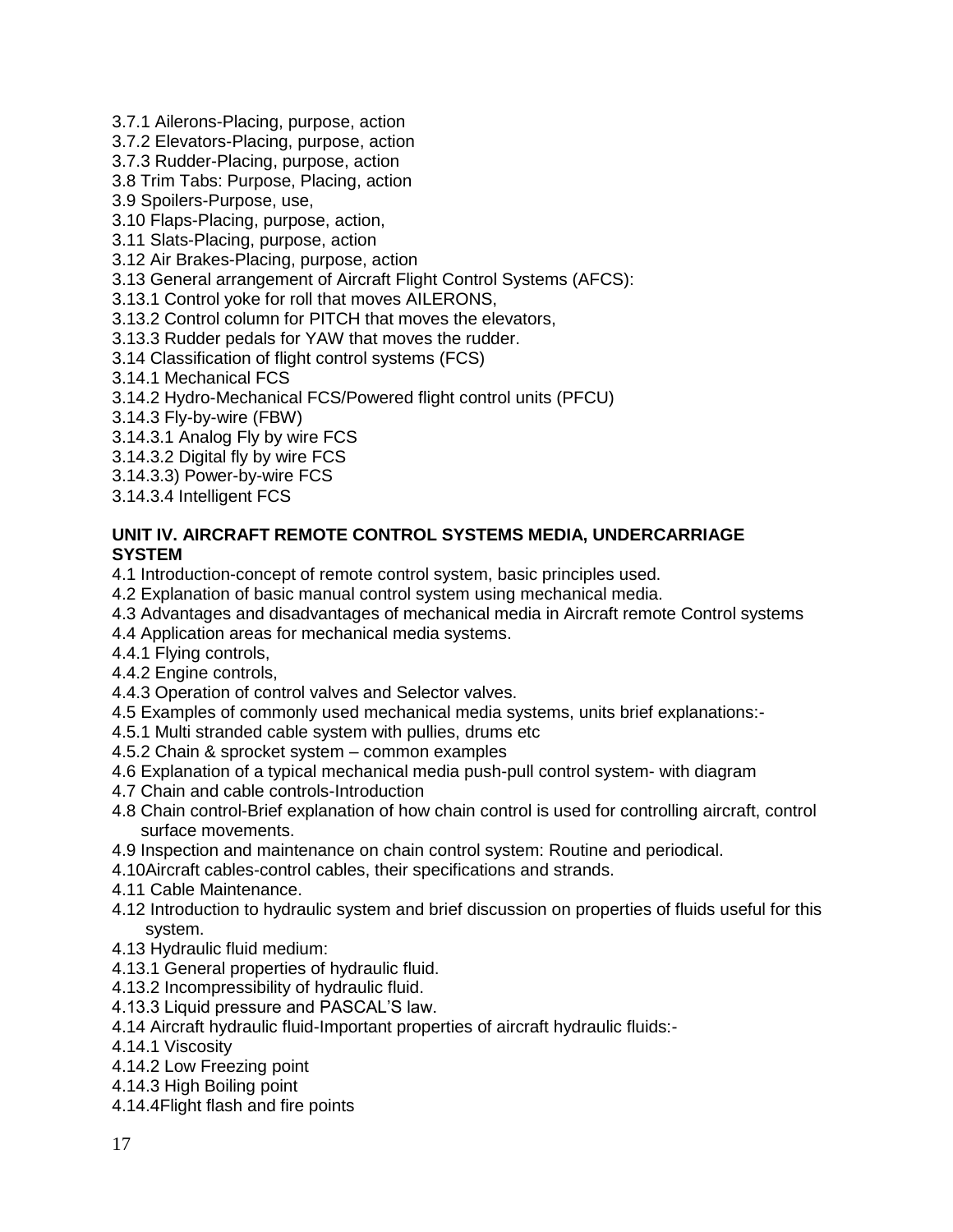3.7.1 Ailerons-Placing, purpose, action

3.7.2 Elevators-Placing, purpose, action

3.7.3 Rudder-Placing, purpose, action

3.8 Trim Tabs: Purpose, Placing, action

3.9 Spoilers-Purpose, use,

3.10 Flaps-Placing, purpose, action,

3.11 Slats-Placing, purpose, action

3.12 Air Brakes-Placing, purpose, action

3.13 General arrangement of Aircraft Flight Control Systems (AFCS):

3.13.1 Control yoke for roll that moves AILERONS,

3.13.2 Control column for PITCH that moves the elevators,

3.13.3 Rudder pedals for YAW that moves the rudder.

3.14 Classification of flight control systems (FCS)

3.14.1 Mechanical FCS

3.14.2 Hydro-Mechanical FCS/Powered flight control units (PFCU)

3.14.3 Fly-by-wire (FBW)

3.14.3.1 Analog Fly by wire FCS

3.14.3.2 Digital fly by wire FCS

3.14.3.3) Power-by-wire FCS

3.14.3.4 Intelligent FCS

#### **UNIT IV. AIRCRAFT REMOTE CONTROL SYSTEMS MEDIA, UNDERCARRIAGE SYSTEM**

4.1 Introduction-concept of remote control system, basic principles used.

- 4.2 Explanation of basic manual control system using mechanical media.
- 4.3 Advantages and disadvantages of mechanical media in Aircraft remote Control systems
- 4.4 Application areas for mechanical media systems.

4.4.1 Flying controls,

4.4.2 Engine controls,

4.4.3 Operation of control valves and Selector valves.

4.5 Examples of commonly used mechanical media systems, units brief explanations:-

- 4.5.1 Multi stranded cable system with pullies, drums etc
- 4.5.2 Chain & sprocket system common examples
- 4.6 Explanation of a typical mechanical media push-pull control system- with diagram
- 4.7 Chain and cable controls-Introduction
- 4.8 Chain control-Brief explanation of how chain control is used for controlling aircraft, control surface movements.
- 4.9 Inspection and maintenance on chain control system: Routine and periodical.
- 4.10Aircraft cables-control cables, their specifications and strands.
- 4.11 Cable Maintenance.
- 4.12 Introduction to hydraulic system and brief discussion on properties of fluids useful for this system.
- 4.13 Hydraulic fluid medium:
- 4.13.1 General properties of hydraulic fluid.
- 4.13.2 Incompressibility of hydraulic fluid.
- 4.13.3 Liquid pressure and PASCAL'S law.
- 4.14 Aircraft hydraulic fluid-Important properties of aircraft hydraulic fluids:-
- 4.14.1 Viscosity
- 4.14.2 Low Freezing point
- 4.14.3 High Boiling point
- 4.14.4Flight flash and fire points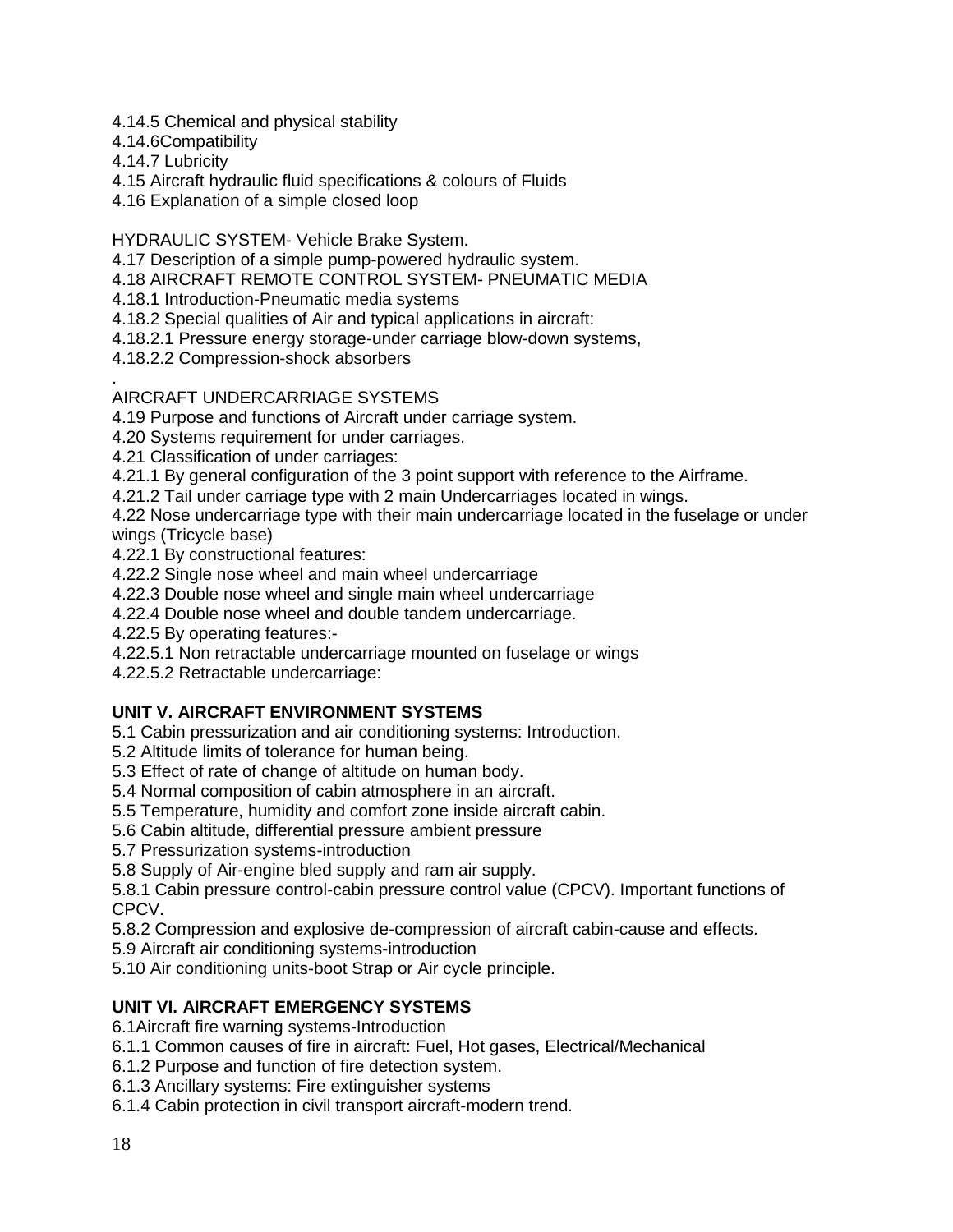- 4.14.5 Chemical and physical stability
- 4.14.6Compatibility
- 4.14.7 Lubricity
- 4.15 Aircraft hydraulic fluid specifications & colours of Fluids
- 4.16 Explanation of a simple closed loop

HYDRAULIC SYSTEM- Vehicle Brake System.

4.17 Description of a simple pump-powered hydraulic system.

4.18 AIRCRAFT REMOTE CONTROL SYSTEM- PNEUMATIC MEDIA

4.18.1 Introduction-Pneumatic media systems

- 4.18.2 Special qualities of Air and typical applications in aircraft:
- 4.18.2.1 Pressure energy storage-under carriage blow-down systems,

4.18.2.2 Compression-shock absorbers

#### . AIRCRAFT UNDERCARRIAGE SYSTEMS

4.19 Purpose and functions of Aircraft under carriage system.

- 4.20 Systems requirement for under carriages.
- 4.21 Classification of under carriages:
- 4.21.1 By general configuration of the 3 point support with reference to the Airframe.
- 4.21.2 Tail under carriage type with 2 main Undercarriages located in wings.
- 4.22 Nose undercarriage type with their main undercarriage located in the fuselage or under wings (Tricycle base)
- 4.22.1 By constructional features:
- 4.22.2 Single nose wheel and main wheel undercarriage
- 4.22.3 Double nose wheel and single main wheel undercarriage
- 4.22.4 Double nose wheel and double tandem undercarriage.
- 4.22.5 By operating features:-
- 4.22.5.1 Non retractable undercarriage mounted on fuselage or wings
- 4.22.5.2 Retractable undercarriage:

## **UNIT V. AIRCRAFT ENVIRONMENT SYSTEMS**

- 5.1 Cabin pressurization and air conditioning systems: Introduction.
- 5.2 Altitude limits of tolerance for human being.
- 5.3 Effect of rate of change of altitude on human body.
- 5.4 Normal composition of cabin atmosphere in an aircraft.
- 5.5 Temperature, humidity and comfort zone inside aircraft cabin.
- 5.6 Cabin altitude, differential pressure ambient pressure
- 5.7 Pressurization systems-introduction
- 5.8 Supply of Air-engine bled supply and ram air supply.

5.8.1 Cabin pressure control-cabin pressure control value (CPCV). Important functions of CPCV.

5.8.2 Compression and explosive de-compression of aircraft cabin-cause and effects.

- 5.9 Aircraft air conditioning systems-introduction
- 5.10 Air conditioning units-boot Strap or Air cycle principle.

## **UNIT VI. AIRCRAFT EMERGENCY SYSTEMS**

6.1Aircraft fire warning systems-Introduction

- 6.1.1 Common causes of fire in aircraft: Fuel, Hot gases, Electrical/Mechanical
- 6.1.2 Purpose and function of fire detection system.
- 6.1.3 Ancillary systems: Fire extinguisher systems

6.1.4 Cabin protection in civil transport aircraft-modern trend.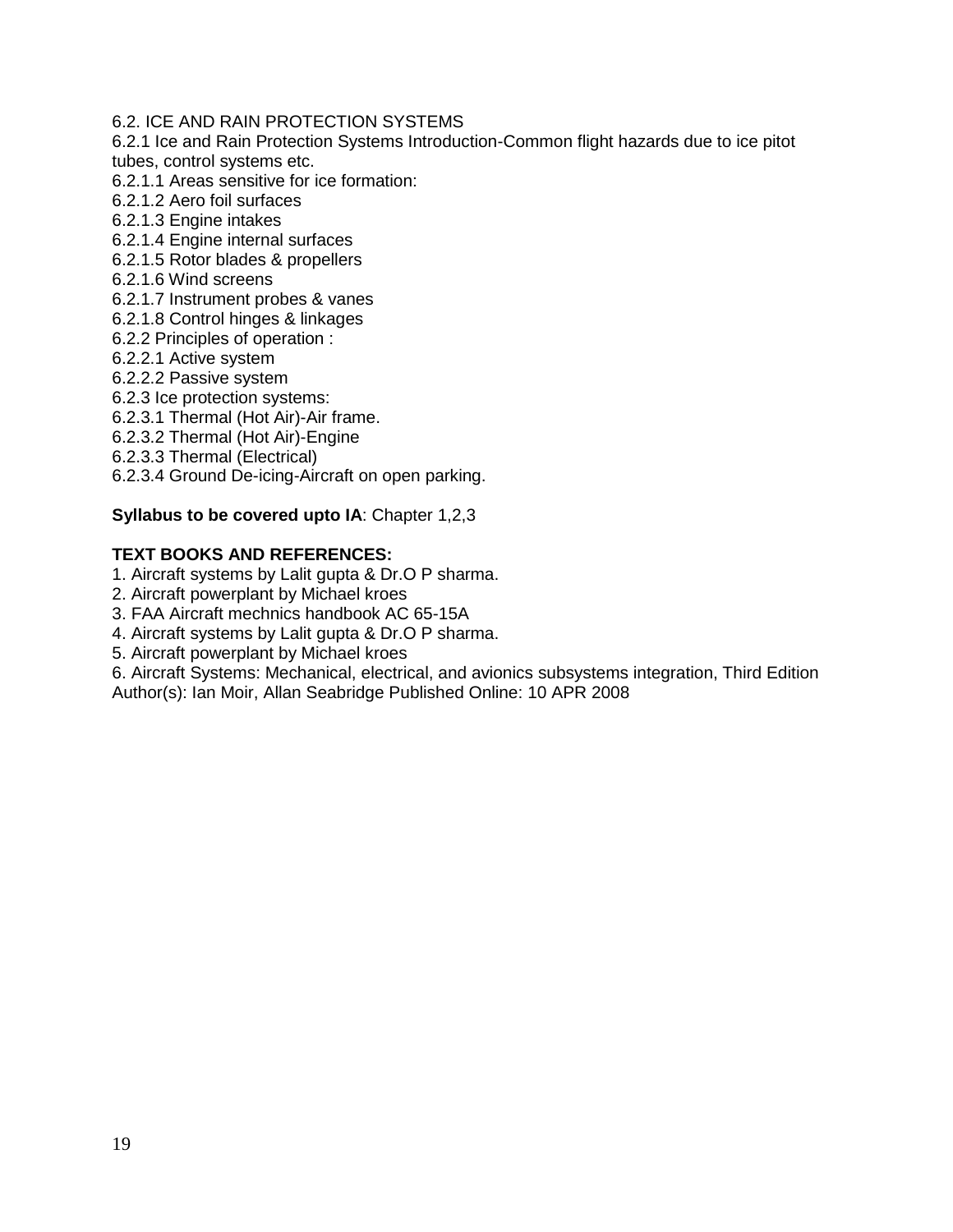#### 6.2. ICE AND RAIN PROTECTION SYSTEMS

6.2.1 Ice and Rain Protection Systems Introduction-Common flight hazards due to ice pitot tubes, control systems etc.

- 6.2.1.1 Areas sensitive for ice formation:
- 6.2.1.2 Aero foil surfaces
- 6.2.1.3 Engine intakes
- 6.2.1.4 Engine internal surfaces
- 6.2.1.5 Rotor blades & propellers
- 6.2.1.6 Wind screens
- 6.2.1.7 Instrument probes & vanes
- 6.2.1.8 Control hinges & linkages
- 6.2.2 Principles of operation :
- 6.2.2.1 Active system
- 6.2.2.2 Passive system
- 6.2.3 Ice protection systems:
- 6.2.3.1 Thermal (Hot Air)-Air frame.
- 6.2.3.2 Thermal (Hot Air)-Engine
- 6.2.3.3 Thermal (Electrical)
- 6.2.3.4 Ground De-icing-Aircraft on open parking.

## **Syllabus to be covered upto IA**: Chapter 1,2,3

## **TEXT BOOKS AND REFERENCES:**

- 1. Aircraft systems by Lalit gupta & Dr.O P sharma.
- 2. Aircraft powerplant by Michael kroes
- 3. FAA Aircraft mechnics handbook AC 65-15A
- 4. Aircraft systems by Lalit gupta & Dr.O P sharma.
- 5. Aircraft powerplant by Michael kroes

6. Aircraft Systems: Mechanical, electrical, and avionics subsystems integration, Third Edition Author(s): Ian Moir, Allan Seabridge Published Online: 10 APR 2008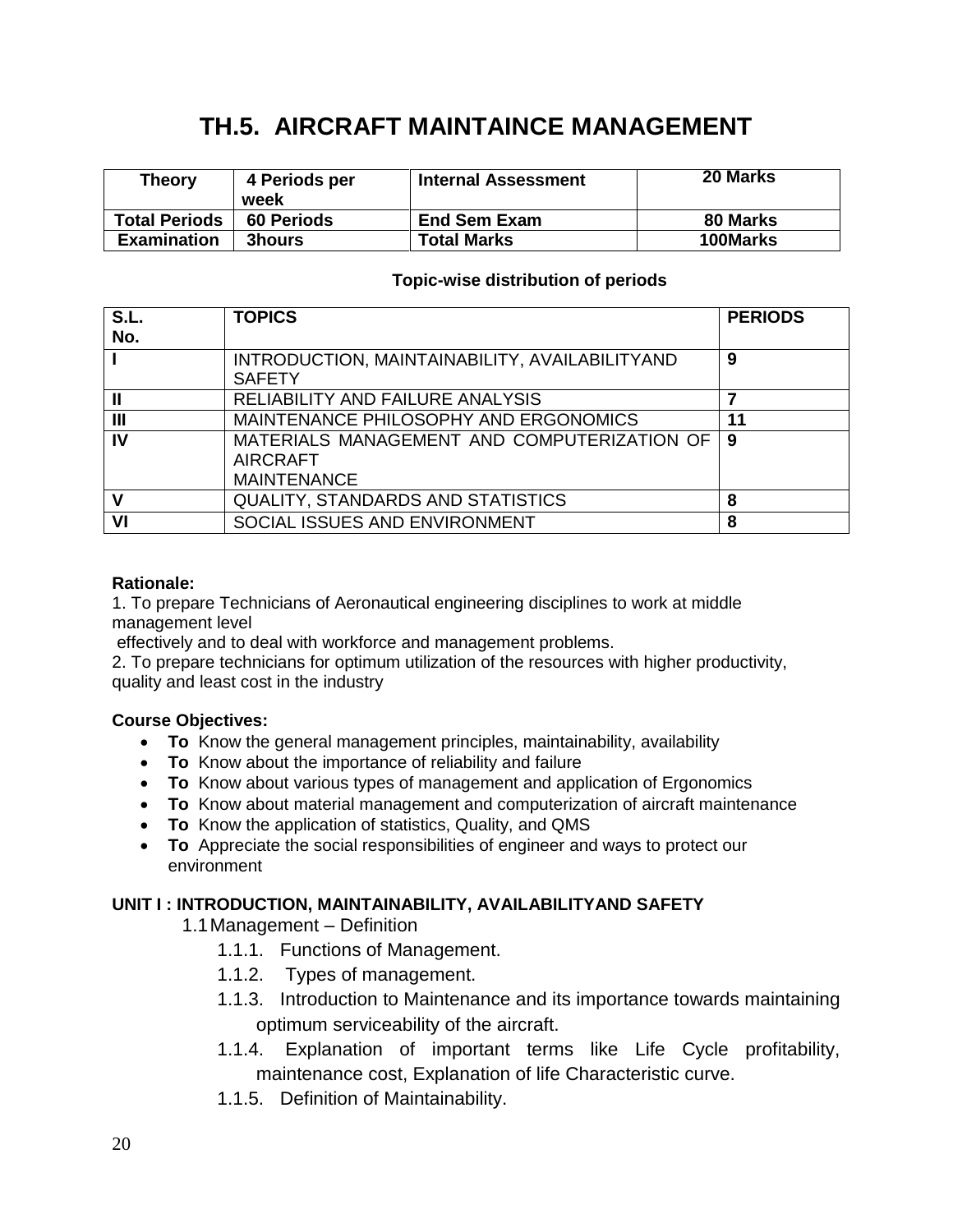## **TH.5. AIRCRAFT MAINTAINCE MANAGEMENT**

| <b>Theory</b>        | 4 Periods per<br>week | <b>Internal Assessment</b> | <b>20 Marks</b> |
|----------------------|-----------------------|----------------------------|-----------------|
| <b>Total Periods</b> | <b>60 Periods</b>     | <b>End Sem Exam</b>        | 80 Marks        |
| <b>Examination</b>   | <b>3hours</b>         | <b>Total Marks</b>         | 100Marks        |

## **Topic-wise distribution of periods**

| S.L.<br>No.    | <b>TOPICS</b>                                                                        | <b>PERIODS</b> |
|----------------|--------------------------------------------------------------------------------------|----------------|
|                | INTRODUCTION, MAINTAINABILITY, AVAILABILITYAND<br><b>SAFETY</b>                      | 9              |
| Ш              | RELIABILITY AND FAILURE ANALYSIS                                                     |                |
| $\mathbf{III}$ | MAINTENANCE PHILOSOPHY AND ERGONOMICS                                                | 11             |
| IV             | MATERIALS MANAGEMENT AND COMPUTERIZATION OF<br><b>AIRCRAFT</b><br><b>MAINTENANCE</b> | 9              |
| V              | <b>QUALITY, STANDARDS AND STATISTICS</b>                                             | 8              |
| VI             | SOCIAL ISSUES AND ENVIRONMENT                                                        | 8              |

## **Rationale:**

1. To prepare Technicians of Aeronautical engineering disciplines to work at middle management level

effectively and to deal with workforce and management problems.

2. To prepare technicians for optimum utilization of the resources with higher productivity, quality and least cost in the industry

## **Course Objectives:**

- **To** Know the general management principles, maintainability, availability
- **To** Know about the importance of reliability and failure
- **To** Know about various types of management and application of Ergonomics
- **To** Know about material management and computerization of aircraft maintenance
- **To** Know the application of statistics, Quality, and QMS
- **To** Appreciate the social responsibilities of engineer and ways to protect our environment

#### **UNIT I : INTRODUCTION, MAINTAINABILITY, AVAILABILITYAND SAFETY**

1.1Management – Definition

- 1.1.1. Functions of Management.
- 1.1.2. Types of management.
- 1.1.3. Introduction to Maintenance and its importance towards maintaining optimum serviceability of the aircraft.
- 1.1.4. Explanation of important terms like Life Cycle profitability, maintenance cost, Explanation of life Characteristic curve.
- 1.1.5. Definition of Maintainability.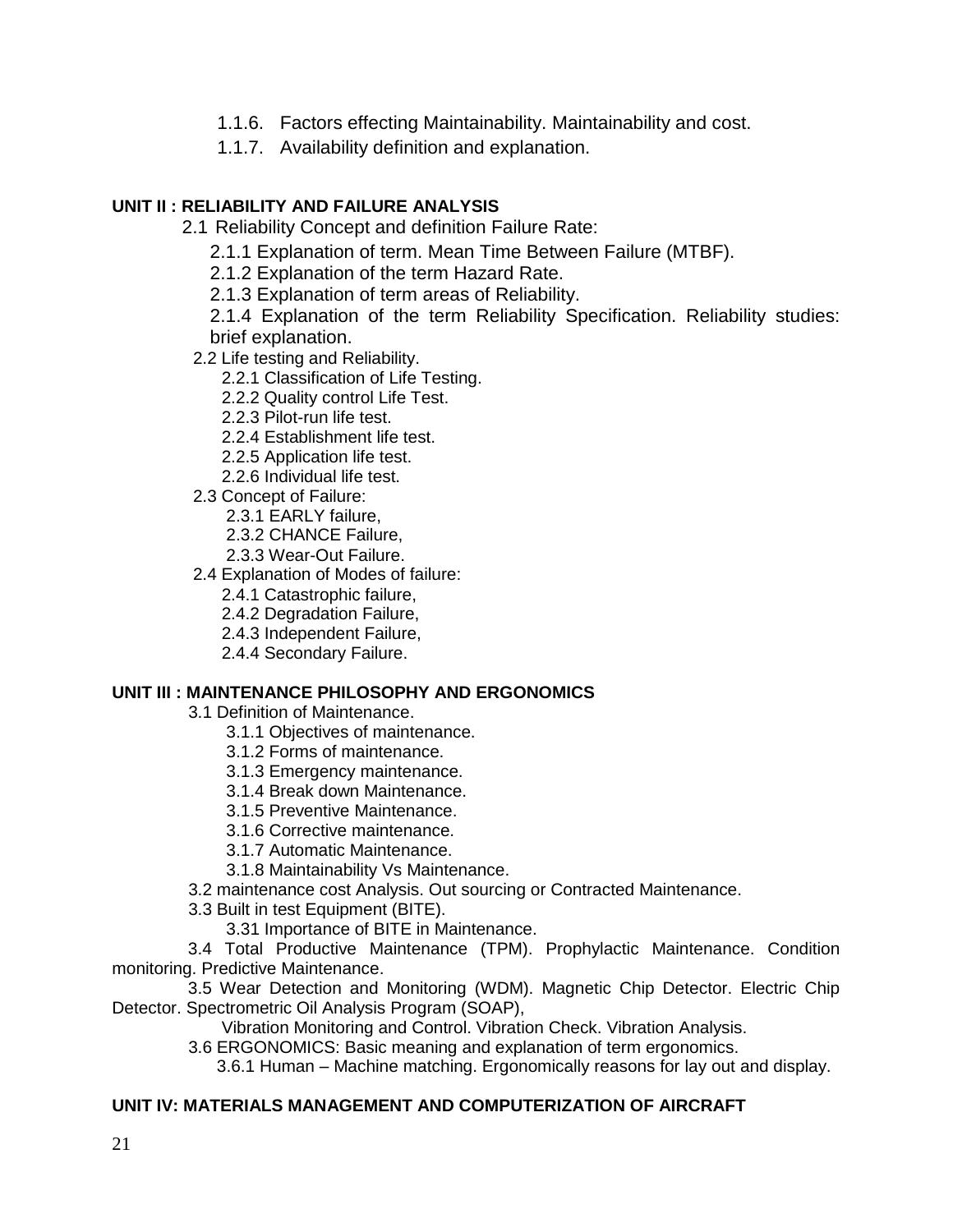- 1.1.6. Factors effecting Maintainability. Maintainability and cost.
- 1.1.7. Availability definition and explanation.

## **UNIT II : RELIABILITY AND FAILURE ANALYSIS**

2.1 Reliability Concept and definition Failure Rate:

- 2.1.1 Explanation of term. Mean Time Between Failure (MTBF).
- 2.1.2 Explanation of the term Hazard Rate.
- 2.1.3 Explanation of term areas of Reliability.

2.1.4 Explanation of the term Reliability Specification. Reliability studies: brief explanation.

- 2.2 Life testing and Reliability.
	- 2.2.1 Classification of Life Testing.
	- 2.2.2 Quality control Life Test.
	- 2.2.3 Pilot-run life test.
	- 2.2.4 Establishment life test.
	- 2.2.5 Application life test.
	- 2.2.6 Individual life test.
- 2.3 Concept of Failure:
	- 2.3.1 EARLY failure,
	- 2.3.2 CHANCE Failure,
	- 2.3.3 Wear-Out Failure.
- 2.4 Explanation of Modes of failure:
	- 2.4.1 Catastrophic failure,
	- 2.4.2 Degradation Failure,
	- 2.4.3 Independent Failure,
	- 2.4.4 Secondary Failure.

## **UNIT III : MAINTENANCE PHILOSOPHY AND ERGONOMICS**

- 3.1 Definition of Maintenance.
	- 3.1.1 Objectives of maintenance.
	- 3.1.2 Forms of maintenance.
	- 3.1.3 Emergency maintenance.
	- 3.1.4 Break down Maintenance.
	- 3.1.5 Preventive Maintenance.
	- 3.1.6 Corrective maintenance.
	- 3.1.7 Automatic Maintenance.
	- 3.1.8 Maintainability Vs Maintenance.
- 3.2 maintenance cost Analysis. Out sourcing or Contracted Maintenance.
- 3.3 Built in test Equipment (BITE).
	- 3.31 Importance of BITE in Maintenance.

 3.4 Total Productive Maintenance (TPM). Prophylactic Maintenance. Condition monitoring. Predictive Maintenance.

 3.5 Wear Detection and Monitoring (WDM). Magnetic Chip Detector. Electric Chip Detector. Spectrometric Oil Analysis Program (SOAP),

Vibration Monitoring and Control. Vibration Check. Vibration Analysis.

3.6 ERGONOMICS: Basic meaning and explanation of term ergonomics.

3.6.1 Human – Machine matching. Ergonomically reasons for lay out and display.

## **UNIT IV: MATERIALS MANAGEMENT AND COMPUTERIZATION OF AIRCRAFT**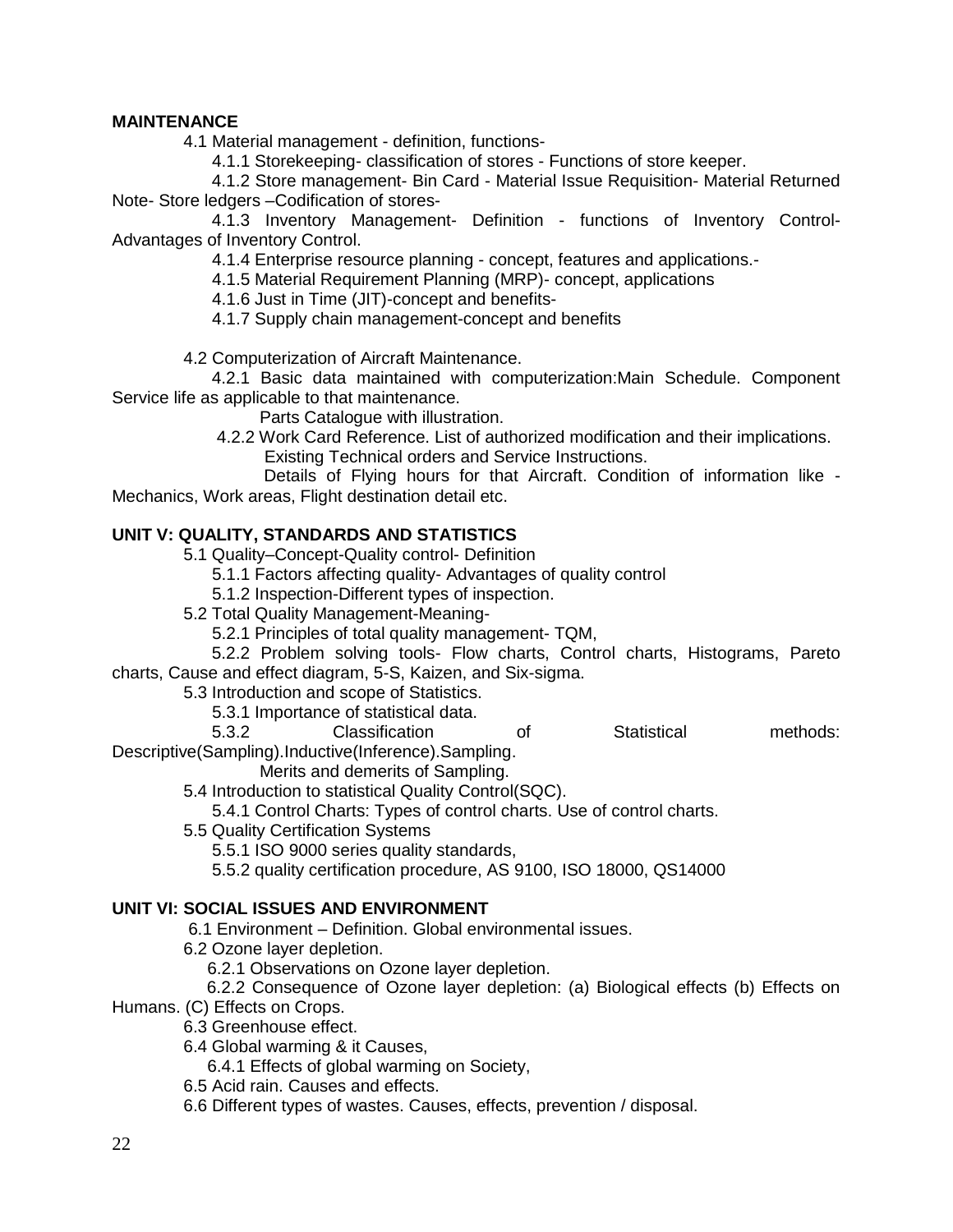#### **MAINTENANCE**

4.1 Material management - definition, functions-

4.1.1 Storekeeping- classification of stores - Functions of store keeper.

 4.1.2 Store management- Bin Card - Material Issue Requisition- Material Returned Note- Store ledgers –Codification of stores-

 4.1.3 Inventory Management- Definition - functions of Inventory Control-Advantages of Inventory Control.

4.1.4 Enterprise resource planning - concept, features and applications.-

4.1.5 Material Requirement Planning (MRP)- concept, applications

4.1.6 Just in Time (JIT)-concept and benefits-

4.1.7 Supply chain management-concept and benefits

4.2 Computerization of Aircraft Maintenance.

 4.2.1 Basic data maintained with computerization:Main Schedule. Component Service life as applicable to that maintenance.

Parts Catalogue with illustration.

 4.2.2 Work Card Reference. List of authorized modification and their implications. Existing Technical orders and Service Instructions.

 Details of Flying hours for that Aircraft. Condition of information like - Mechanics, Work areas, Flight destination detail etc.

#### **UNIT V: QUALITY, STANDARDS AND STATISTICS**

5.1 Quality–Concept-Quality control- Definition

5.1.1 Factors affecting quality- Advantages of quality control

5.1.2 Inspection-Different types of inspection.

- 5.2 Total Quality Management-Meaning-
	- 5.2.1 Principles of total quality management- TQM,

 5.2.2 Problem solving tools- Flow charts, Control charts, Histograms, Pareto charts, Cause and effect diagram, 5-S, Kaizen, and Six-sigma.

5.3 Introduction and scope of Statistics.

5.3.1 Importance of statistical data.

 5.3.2 Classification of Statistical methods: Descriptive(Sampling).Inductive(Inference).Sampling.

Merits and demerits of Sampling.

5.4 Introduction to statistical Quality Control(SQC).

5.4.1 Control Charts: Types of control charts. Use of control charts.

5.5 Quality Certification Systems

5.5.1 ISO 9000 series quality standards,

5.5.2 quality certification procedure, AS 9100, ISO 18000, QS14000

#### **UNIT VI: SOCIAL ISSUES AND ENVIRONMENT**

6.1 Environment – Definition. Global environmental issues.

6.2 Ozone layer depletion.

6.2.1 Observations on Ozone layer depletion.

6.2.2 Consequence of Ozone layer depletion: (a) Biological effects (b) Effects on

Humans. (C) Effects on Crops.

- 6.3 Greenhouse effect.
- 6.4 Global warming & it Causes,

6.4.1 Effects of global warming on Society,

- 6.5 Acid rain. Causes and effects.
- 6.6 Different types of wastes. Causes, effects, prevention / disposal.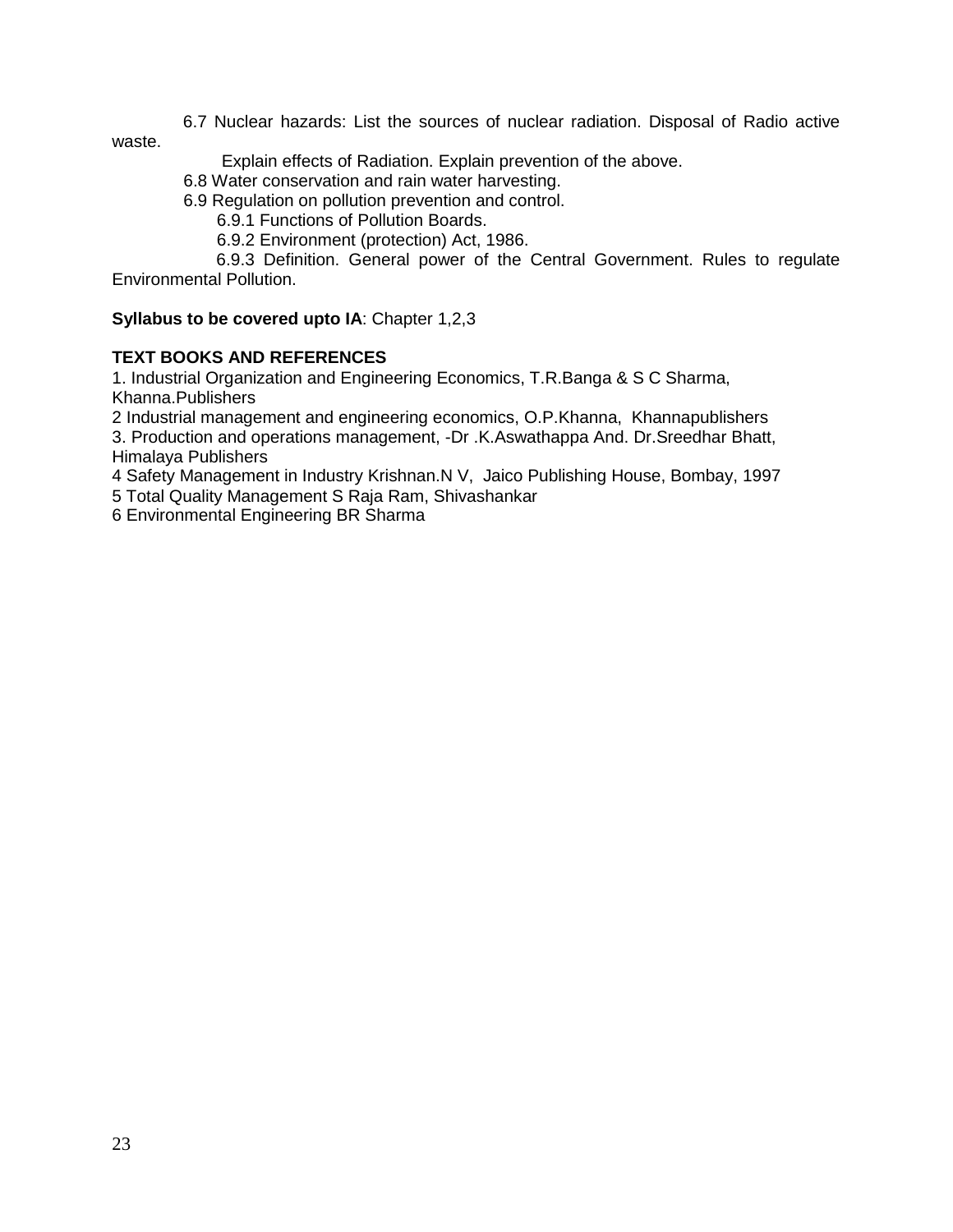6.7 Nuclear hazards: List the sources of nuclear radiation. Disposal of Radio active waste.

Explain effects of Radiation. Explain prevention of the above.

6.8 Water conservation and rain water harvesting.

6.9 Regulation on pollution prevention and control.

6.9.1 Functions of Pollution Boards.

6.9.2 Environment (protection) Act, 1986.

 6.9.3 Definition. General power of the Central Government. Rules to regulate Environmental Pollution.

**Syllabus to be covered upto IA**: Chapter 1,2,3

## **TEXT BOOKS AND REFERENCES**

1. Industrial Organization and Engineering Economics, T.R.Banga & S C Sharma, Khanna.Publishers

2 Industrial management and engineering economics, O.P.Khanna, Khannapublishers

3. Production and operations management, -Dr .K.Aswathappa And. Dr.Sreedhar Bhatt, Himalaya Publishers

4 Safety Management in Industry Krishnan.N V, Jaico Publishing House, Bombay, 1997

5 Total Quality Management S Raja Ram, Shivashankar

6 Environmental Engineering BR Sharma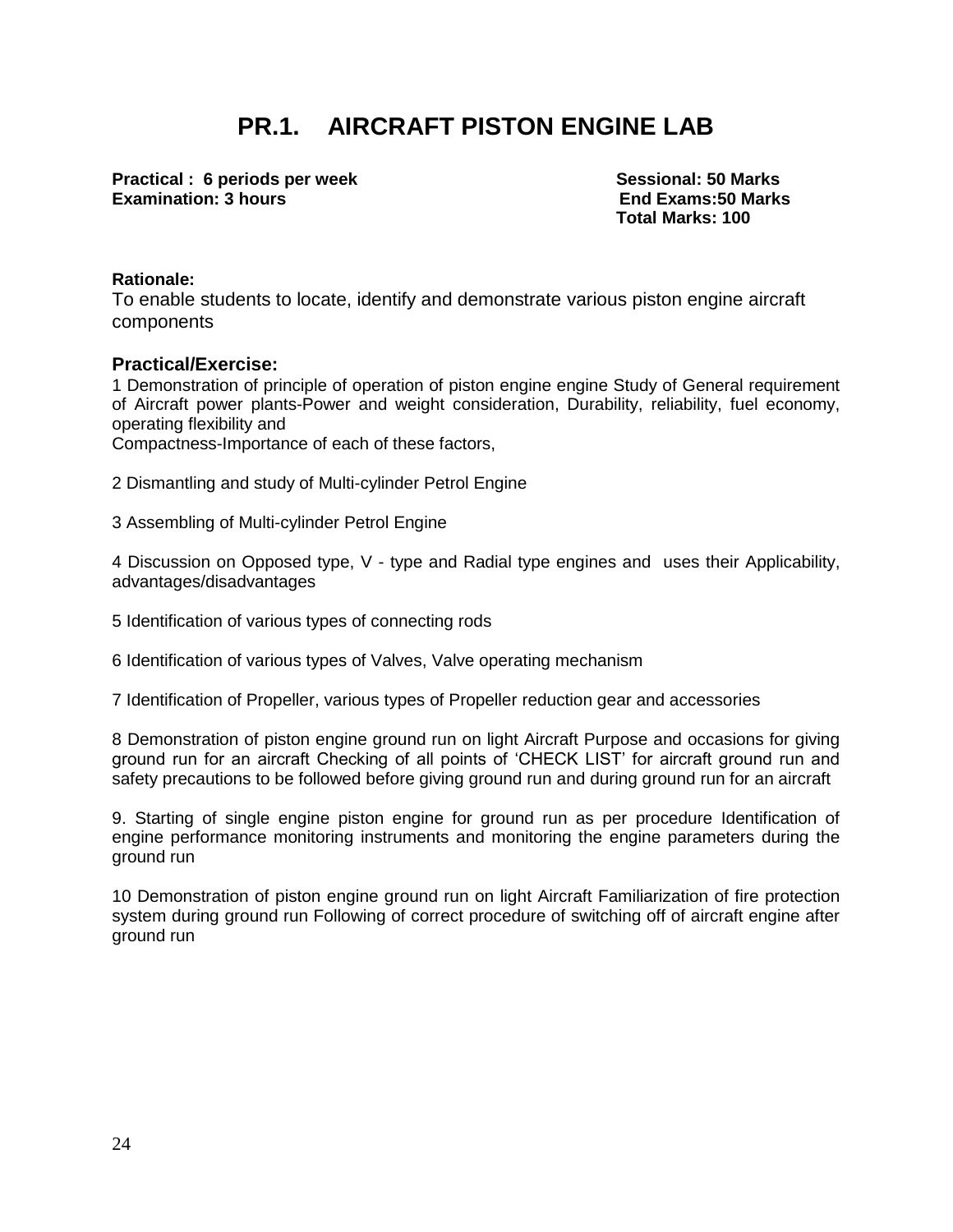## **PR.1. AIRCRAFT PISTON ENGINE LAB**

**Practical : 6 periods per week Sessional: 50 Marks Sessional: 50 Marks Examination: 3 hours End Exams:50 Marks**

**Total Marks: 100** 

#### **Rationale:**

To enable students to locate, identify and demonstrate various piston engine aircraft components

#### **Practical/Exercise:**

1 Demonstration of principle of operation of piston engine engine Study of General requirement of Aircraft power plants-Power and weight consideration, Durability, reliability, fuel economy, operating flexibility and

Compactness-Importance of each of these factors,

2 Dismantling and study of Multi-cylinder Petrol Engine

3 Assembling of Multi-cylinder Petrol Engine

4 Discussion on Opposed type, V - type and Radial type engines and uses their Applicability, advantages/disadvantages

5 Identification of various types of connecting rods

6 Identification of various types of Valves, Valve operating mechanism

7 Identification of Propeller, various types of Propeller reduction gear and accessories

8 Demonstration of piston engine ground run on light Aircraft Purpose and occasions for giving ground run for an aircraft Checking of all points of 'CHECK LIST' for aircraft ground run and safety precautions to be followed before giving ground run and during ground run for an aircraft

9. Starting of single engine piston engine for ground run as per procedure Identification of engine performance monitoring instruments and monitoring the engine parameters during the ground run

10 Demonstration of piston engine ground run on light Aircraft Familiarization of fire protection system during ground run Following of correct procedure of switching off of aircraft engine after ground run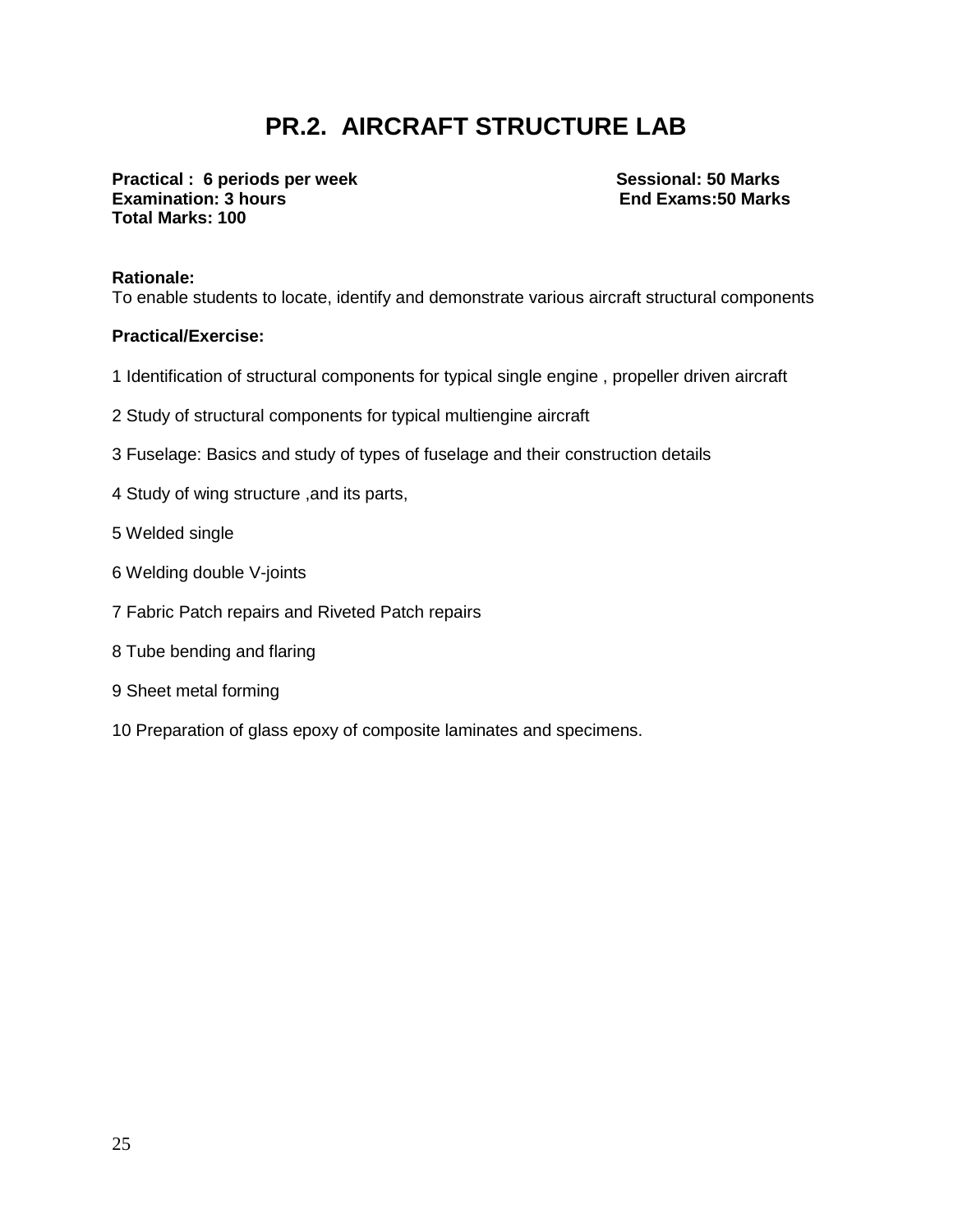## **PR.2. AIRCRAFT STRUCTURE LAB**

**Practical : 6 periods per week Sessional: 50 Marks Sessional: 50 Marks Examination: 3 hours End Exams:50 Marks Total Marks: 100** 

#### **Rationale:**

To enable students to locate, identify and demonstrate various aircraft structural components

#### **Practical/Exercise:**

- 1 Identification of structural components for typical single engine , propeller driven aircraft
- 2 Study of structural components for typical multiengine aircraft
- 3 Fuselage: Basics and study of types of fuselage and their construction details
- 4 Study of wing structure ,and its parts,
- 5 Welded single
- 6 Welding double V-joints
- 7 Fabric Patch repairs and Riveted Patch repairs
- 8 Tube bending and flaring
- 9 Sheet metal forming
- 10 Preparation of glass epoxy of composite laminates and specimens.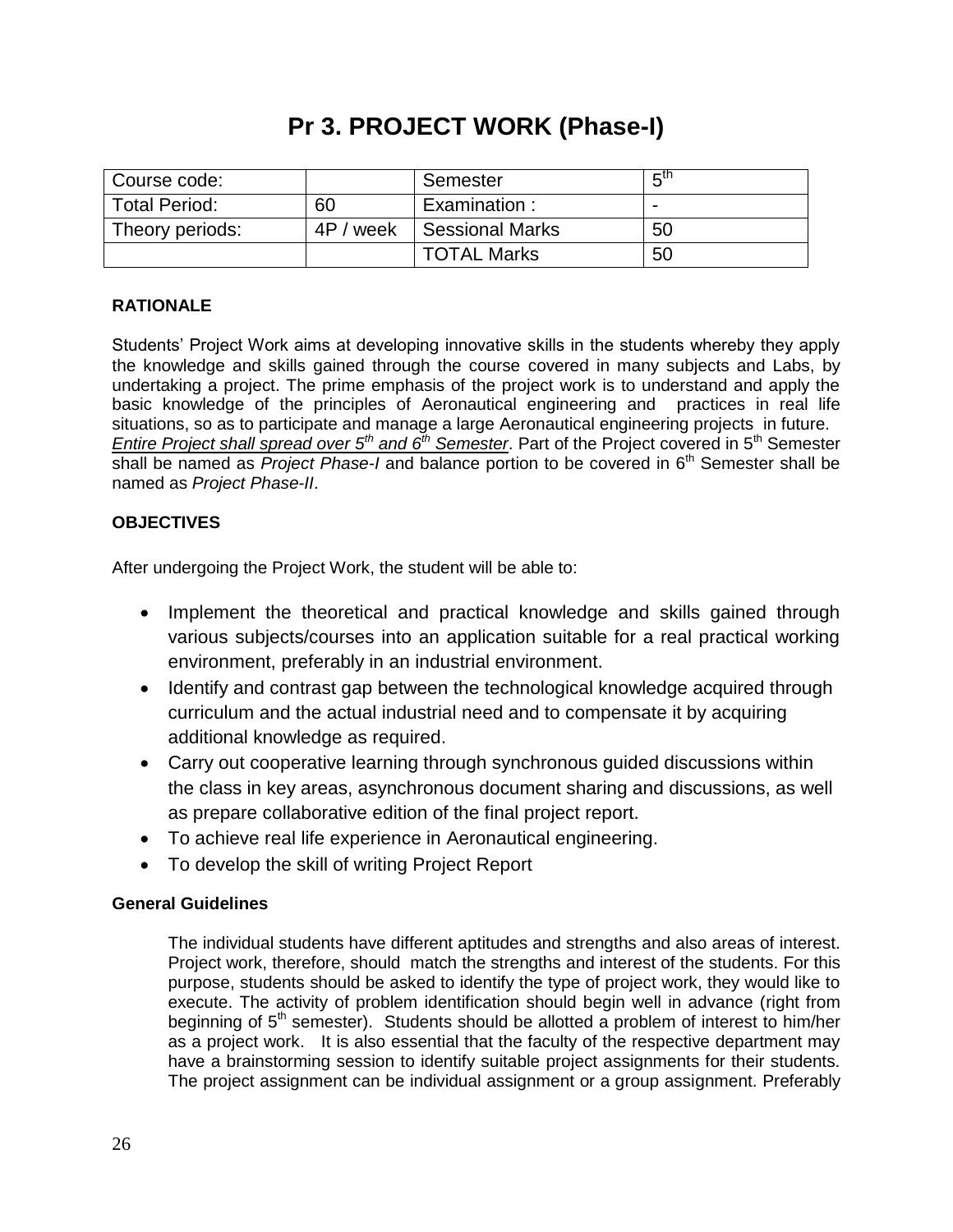## **Pr 3. PROJECT WORK (Phase-I)**

| Course code:         |            | Semester               | π™                       |
|----------------------|------------|------------------------|--------------------------|
| <b>Total Period:</b> | 60         | Examination:           | $\overline{\phantom{0}}$ |
| Theory periods:      | 4P<br>week | <b>Sessional Marks</b> | 50                       |
|                      |            | <b>TOTAL Marks</b>     | 50                       |

## **RATIONALE**

Students' Project Work aims at developing innovative skills in the students whereby they apply the knowledge and skills gained through the course covered in many subjects and Labs, by undertaking a project. The prime emphasis of the project work is to understand and apply the basic knowledge of the principles of Aeronautical engineering and practices in real life situations, so as to participate and manage a large Aeronautical engineering projects in future. *Entire Project shall spread over 5th and 6th Semester*. Part of the Project covered in 5th Semester shall be named as *Project Phase-I* and balance portion to be covered in 6<sup>th</sup> Semester shall be named as *Project Phase-II*.

## **OBJECTIVES**

After undergoing the Project Work, the student will be able to:

- Implement the theoretical and practical knowledge and skills gained through various subjects/courses into an application suitable for a real practical working environment, preferably in an industrial environment.
- Identify and contrast gap between the technological knowledge acquired through curriculum and the actual industrial need and to compensate it by acquiring additional knowledge as required.
- Carry out cooperative learning through synchronous guided discussions within the class in key areas, asynchronous document sharing and discussions, as well as prepare collaborative edition of the final project report.
- To achieve real life experience in Aeronautical engineering.
- To develop the skill of writing Project Report

#### **General Guidelines**

The individual students have different aptitudes and strengths and also areas of interest. Project work, therefore, should match the strengths and interest of the students. For this purpose, students should be asked to identify the type of project work, they would like to execute. The activity of problem identification should begin well in advance (right from beginning of 5<sup>th</sup> semester). Students should be allotted a problem of interest to him/her as a project work. It is also essential that the faculty of the respective department may have a brainstorming session to identify suitable project assignments for their students. The project assignment can be individual assignment or a group assignment. Preferably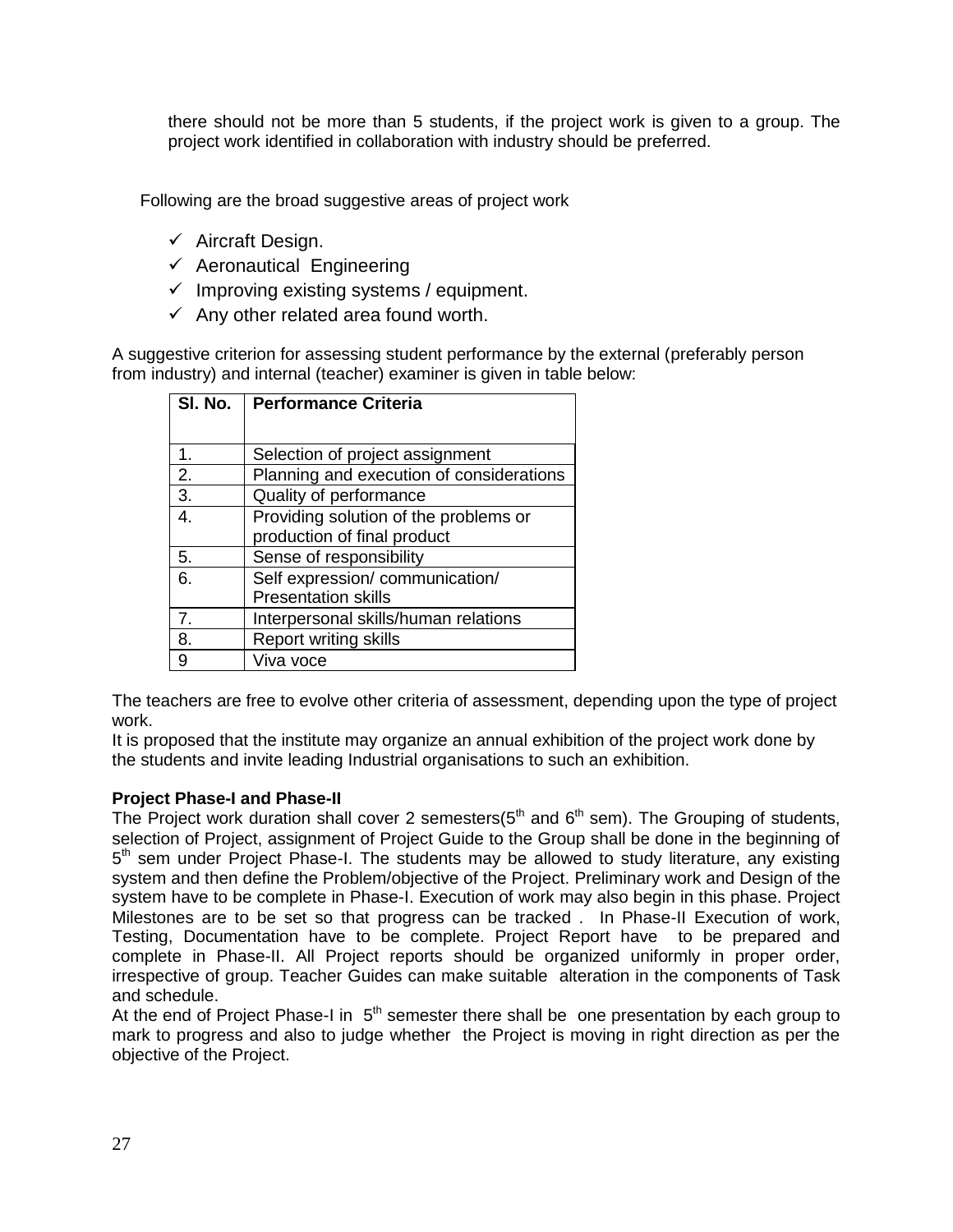there should not be more than 5 students, if the project work is given to a group. The project work identified in collaboration with industry should be preferred.

Following are the broad suggestive areas of project work

- $\checkmark$  Aircraft Design.
- $\checkmark$  Aeronautical Engineering
- $\checkmark$  Improving existing systems / equipment.
- $\checkmark$  Any other related area found worth.

A suggestive criterion for assessing student performance by the external (preferably person from industry) and internal (teacher) examiner is given in table below:

| SI. No. | <b>Performance Criteria</b>              |  |  |
|---------|------------------------------------------|--|--|
|         |                                          |  |  |
| 1.      | Selection of project assignment          |  |  |
| 2.      | Planning and execution of considerations |  |  |
| 3.      | Quality of performance                   |  |  |
| 4.      | Providing solution of the problems or    |  |  |
|         | production of final product              |  |  |
| 5.      | Sense of responsibility                  |  |  |
| 6.      | Self expression/communication/           |  |  |
|         | <b>Presentation skills</b>               |  |  |
| 7.      | Interpersonal skills/human relations     |  |  |
| 8.      | <b>Report writing skills</b>             |  |  |
| 9       | Viva voce                                |  |  |

The teachers are free to evolve other criteria of assessment, depending upon the type of project work.

It is proposed that the institute may organize an annual exhibition of the project work done by the students and invite leading Industrial organisations to such an exhibition.

#### **Project Phase-I and Phase-II**

The Project work duration shall cover 2 semesters( $5<sup>th</sup>$  and  $6<sup>th</sup>$  sem). The Grouping of students, selection of Project, assignment of Project Guide to the Group shall be done in the beginning of 5<sup>th</sup> sem under Project Phase-I. The students may be allowed to study literature, any existing system and then define the Problem/objective of the Project. Preliminary work and Design of the system have to be complete in Phase-I. Execution of work may also begin in this phase. Project Milestones are to be set so that progress can be tracked . In Phase-II Execution of work, Testing, Documentation have to be complete. Project Report have to be prepared and complete in Phase-II. All Project reports should be organized uniformly in proper order, irrespective of group. Teacher Guides can make suitable alteration in the components of Task and schedule.

At the end of Project Phase-I in  $5<sup>th</sup>$  semester there shall be one presentation by each group to mark to progress and also to judge whether the Project is moving in right direction as per the objective of the Project.